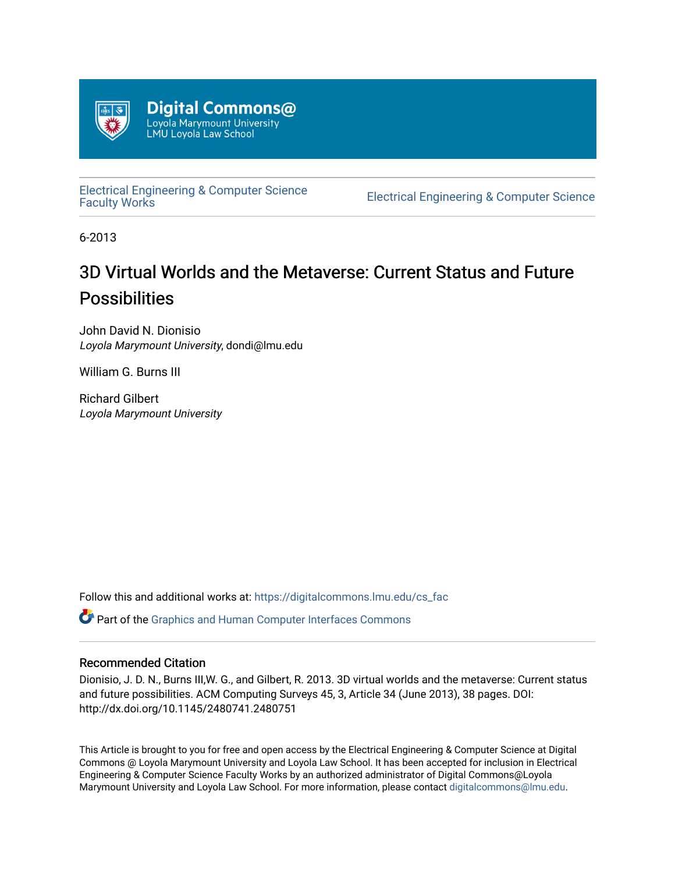

[Electrical Engineering & Computer Science](https://digitalcommons.lmu.edu/cs_fac)  Electrical Engineering & Computer Science<br>[Faculty Works](https://digitalcommons.lmu.edu/cs_fac) Faculty Works

6-2013

# 3D Virtual Worlds and the Metaverse: Current Status and Future Possibilities

John David N. Dionisio Loyola Marymount University, dondi@lmu.edu

William G. Burns III

Richard Gilbert Loyola Marymount University

Follow this and additional works at: [https://digitalcommons.lmu.edu/cs\\_fac](https://digitalcommons.lmu.edu/cs_fac?utm_source=digitalcommons.lmu.edu%2Fcs_fac%2F8&utm_medium=PDF&utm_campaign=PDFCoverPages) 

Part of the [Graphics and Human Computer Interfaces Commons](http://network.bepress.com/hgg/discipline/146?utm_source=digitalcommons.lmu.edu%2Fcs_fac%2F8&utm_medium=PDF&utm_campaign=PDFCoverPages) 

# Recommended Citation

Dionisio, J. D. N., Burns III,W. G., and Gilbert, R. 2013. 3D virtual worlds and the metaverse: Current status and future possibilities. ACM Computing Surveys 45, 3, Article 34 (June 2013), 38 pages. DOI: http://dx.doi.org/10.1145/2480741.2480751

This Article is brought to you for free and open access by the Electrical Engineering & Computer Science at Digital Commons @ Loyola Marymount University and Loyola Law School. It has been accepted for inclusion in Electrical Engineering & Computer Science Faculty Works by an authorized administrator of Digital Commons@Loyola Marymount University and Loyola Law School. For more information, please contact [digitalcommons@lmu.edu](mailto:digitalcommons@lmu.edu).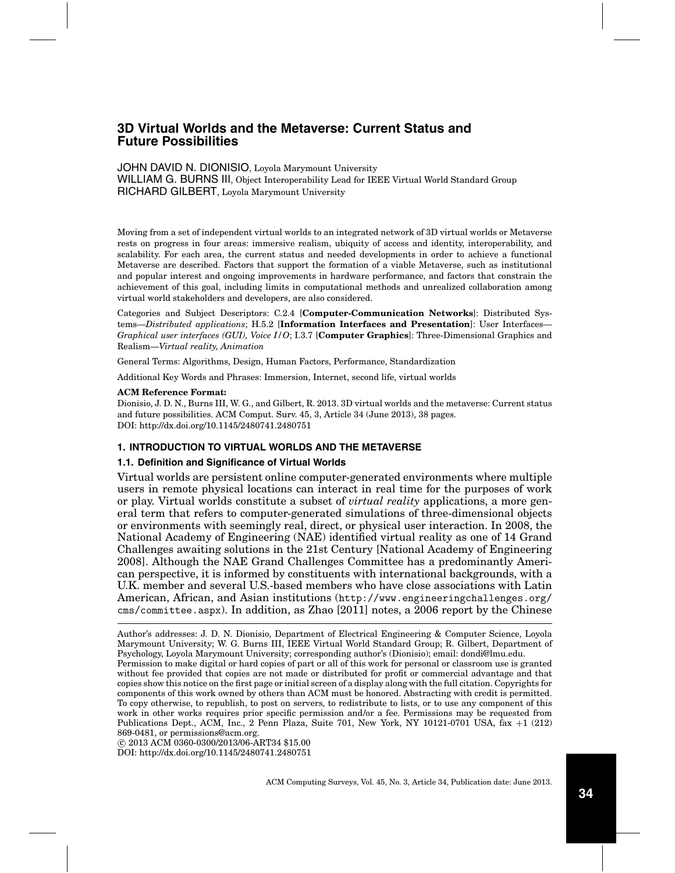# **3D Virtual Worlds and the Metaverse: Current Status and Future Possibilities**

JOHN DAVID N. DIONISIO, Loyola Marymount University WILLIAM G. BURNS III, Object Interoperability Lead for IEEE Virtual World Standard Group RICHARD GILBERT, Loyola Marymount University

Moving from a set of independent virtual worlds to an integrated network of 3D virtual worlds or Metaverse rests on progress in four areas: immersive realism, ubiquity of access and identity, interoperability, and scalability. For each area, the current status and needed developments in order to achieve a functional Metaverse are described. Factors that support the formation of a viable Metaverse, such as institutional and popular interest and ongoing improvements in hardware performance, and factors that constrain the achievement of this goal, including limits in computational methods and unrealized collaboration among virtual world stakeholders and developers, are also considered.

Categories and Subject Descriptors: C.2.4 [**Computer-Communication Networks**]: Distributed Systems—*Distributed applications*; H.5.2 [**Information Interfaces and Presentation**]: User Interfaces— *Graphical user interfaces (GUI), Voice I/O*; I.3.7 [**Computer Graphics**]: Three-Dimensional Graphics and Realism—*Virtual reality, Animation*

General Terms: Algorithms, Design, Human Factors, Performance, Standardization

Additional Key Words and Phrases: Immersion, Internet, second life, virtual worlds

#### **ACM Reference Format:**

Dionisio, J. D. N., Burns III, W. G., and Gilbert, R. 2013. 3D virtual worlds and the metaverse: Current status and future possibilities. ACM Comput. Surv. 45, 3, Article 34 (June 2013), 38 pages. DOI: http://dx.doi.org/10.1145/2480741.2480751

#### **1. INTRODUCTION TO VIRTUAL WORLDS AND THE METAVERSE**

#### **1.1. Definition and Significance of Virtual Worlds**

Virtual worlds are persistent online computer-generated environments where multiple users in remote physical locations can interact in real time for the purposes of work or play. Virtual worlds constitute a subset of *virtual reality* applications, a more general term that refers to computer-generated simulations of three-dimensional objects or environments with seemingly real, direct, or physical user interaction. In 2008, the National Academy of Engineering (NAE) identified virtual reality as one of 14 Grand Challenges awaiting solutions in the 21st Century [National Academy of Engineering 2008]. Although the NAE Grand Challenges Committee has a predominantly American perspective, it is informed by constituents with international backgrounds, with a U.K. member and several U.S.-based members who have close associations with Latin American, African, and Asian institutions (http://www.engineeringchallenges.org/ cms/committee.aspx). In addition, as Zhao [2011] notes, a 2006 report by the Chinese

-c 2013 ACM 0360-0300/2013/06-ART34 \$15.00 DOI: http://dx.doi.org/10.1145/2480741.2480751

Author's addresses: J. D. N. Dionisio, Department of Electrical Engineering & Computer Science, Loyola Marymount University; W. G. Burns III, IEEE Virtual World Standard Group; R. Gilbert, Department of Psychology, Loyola Marymount University; corresponding author's (Dionisio); email: dondi@lmu.edu.

Permission to make digital or hard copies of part or all of this work for personal or classroom use is granted without fee provided that copies are not made or distributed for profit or commercial advantage and that copies show this notice on the first page or initial screen of a display along with the full citation. Copyrights for components of this work owned by others than ACM must be honored. Abstracting with credit is permitted. To copy otherwise, to republish, to post on servers, to redistribute to lists, or to use any component of this work in other works requires prior specific permission and/or a fee. Permissions may be requested from Publications Dept., ACM, Inc., 2 Penn Plaza, Suite 701, New York, NY 10121-0701 USA, fax +1 (212) 869-0481, or permissions@acm.org.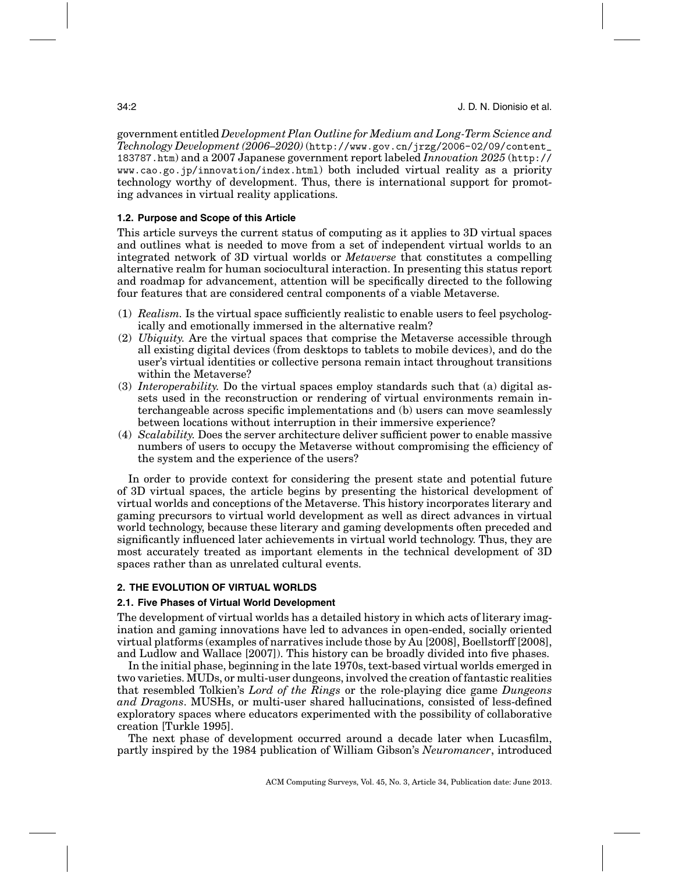government entitled *Development Plan Outline for Medium and Long-Term Science and Technology Development (2006–2020)* (http://www.gov.cn/jrzg/2006-02/09/content\_ 183787.htm) and a 2007 Japanese government report labeled *Innovation 2025* (http:// www.cao.go.jp/innovation/index.html) both included virtual reality as a priority technology worthy of development. Thus, there is international support for promoting advances in virtual reality applications.

### **1.2. Purpose and Scope of this Article**

This article surveys the current status of computing as it applies to 3D virtual spaces and outlines what is needed to move from a set of independent virtual worlds to an integrated network of 3D virtual worlds or *Metaverse* that constitutes a compelling alternative realm for human sociocultural interaction. In presenting this status report and roadmap for advancement, attention will be specifically directed to the following four features that are considered central components of a viable Metaverse.

- (1) *Realism.* Is the virtual space sufficiently realistic to enable users to feel psychologically and emotionally immersed in the alternative realm?
- (2) *Ubiquity.* Are the virtual spaces that comprise the Metaverse accessible through all existing digital devices (from desktops to tablets to mobile devices), and do the user's virtual identities or collective persona remain intact throughout transitions within the Metaverse?
- (3) *Interoperability.* Do the virtual spaces employ standards such that (a) digital assets used in the reconstruction or rendering of virtual environments remain interchangeable across specific implementations and (b) users can move seamlessly between locations without interruption in their immersive experience?
- (4) *Scalability.* Does the server architecture deliver sufficient power to enable massive numbers of users to occupy the Metaverse without compromising the efficiency of the system and the experience of the users?

In order to provide context for considering the present state and potential future of 3D virtual spaces, the article begins by presenting the historical development of virtual worlds and conceptions of the Metaverse. This history incorporates literary and gaming precursors to virtual world development as well as direct advances in virtual world technology, because these literary and gaming developments often preceded and significantly influenced later achievements in virtual world technology. Thus, they are most accurately treated as important elements in the technical development of 3D spaces rather than as unrelated cultural events.

#### **2. THE EVOLUTION OF VIRTUAL WORLDS**

#### **2.1. Five Phases of Virtual World Development**

The development of virtual worlds has a detailed history in which acts of literary imagination and gaming innovations have led to advances in open-ended, socially oriented virtual platforms (examples of narratives include those by Au [2008], Boellstorff [2008], and Ludlow and Wallace [2007]). This history can be broadly divided into five phases.

In the initial phase, beginning in the late 1970s, text-based virtual worlds emerged in two varieties. MUDs, or multi-user dungeons, involved the creation of fantastic realities that resembled Tolkien's *Lord of the Rings* or the role-playing dice game *Dungeons and Dragons*. MUSHs, or multi-user shared hallucinations, consisted of less-defined exploratory spaces where educators experimented with the possibility of collaborative creation [Turkle 1995].

The next phase of development occurred around a decade later when Lucasfilm, partly inspired by the 1984 publication of William Gibson's *Neuromancer*, introduced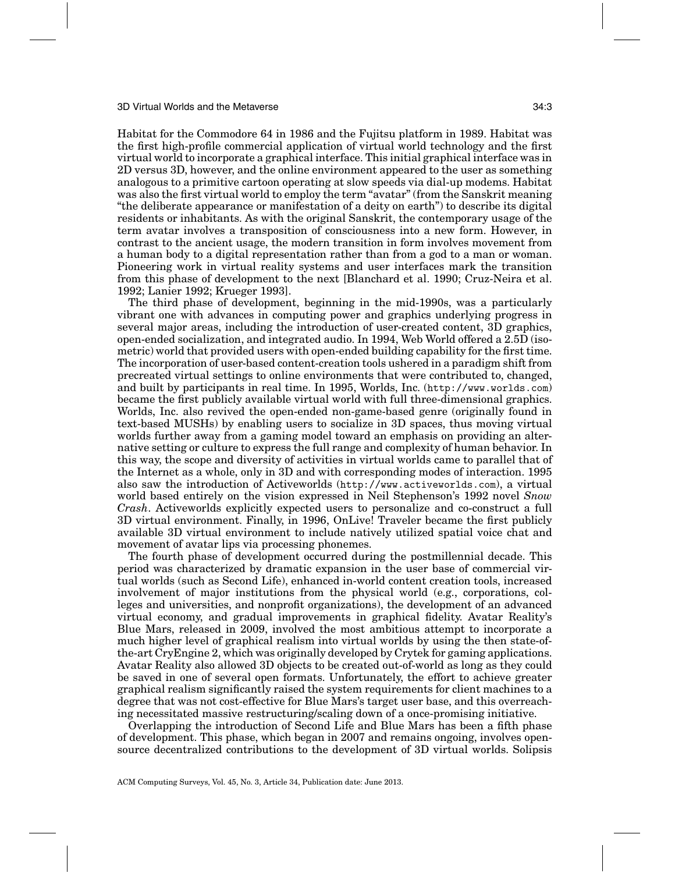Habitat for the Commodore 64 in 1986 and the Fujitsu platform in 1989. Habitat was the first high-profile commercial application of virtual world technology and the first virtual world to incorporate a graphical interface. This initial graphical interface was in 2D versus 3D, however, and the online environment appeared to the user as something analogous to a primitive cartoon operating at slow speeds via dial-up modems. Habitat was also the first virtual world to employ the term "avatar" (from the Sanskrit meaning "the deliberate appearance or manifestation of a deity on earth") to describe its digital residents or inhabitants. As with the original Sanskrit, the contemporary usage of the term avatar involves a transposition of consciousness into a new form. However, in contrast to the ancient usage, the modern transition in form involves movement from a human body to a digital representation rather than from a god to a man or woman. Pioneering work in virtual reality systems and user interfaces mark the transition from this phase of development to the next [Blanchard et al. 1990; Cruz-Neira et al. 1992; Lanier 1992; Krueger 1993].

The third phase of development, beginning in the mid-1990s, was a particularly vibrant one with advances in computing power and graphics underlying progress in several major areas, including the introduction of user-created content, 3D graphics, open-ended socialization, and integrated audio. In 1994, Web World offered a 2.5D (isometric) world that provided users with open-ended building capability for the first time. The incorporation of user-based content-creation tools ushered in a paradigm shift from precreated virtual settings to online environments that were contributed to, changed, and built by participants in real time. In 1995, Worlds, Inc. (http://www.worlds.com) became the first publicly available virtual world with full three-dimensional graphics. Worlds, Inc. also revived the open-ended non-game-based genre (originally found in text-based MUSHs) by enabling users to socialize in 3D spaces, thus moving virtual worlds further away from a gaming model toward an emphasis on providing an alternative setting or culture to express the full range and complexity of human behavior. In this way, the scope and diversity of activities in virtual worlds came to parallel that of the Internet as a whole, only in 3D and with corresponding modes of interaction. 1995 also saw the introduction of Activeworlds (http://www.activeworlds.com), a virtual world based entirely on the vision expressed in Neil Stephenson's 1992 novel *Snow Crash*. Activeworlds explicitly expected users to personalize and co-construct a full 3D virtual environment. Finally, in 1996, OnLive! Traveler became the first publicly available 3D virtual environment to include natively utilized spatial voice chat and movement of avatar lips via processing phonemes.

The fourth phase of development occurred during the postmillennial decade. This period was characterized by dramatic expansion in the user base of commercial virtual worlds (such as Second Life), enhanced in-world content creation tools, increased involvement of major institutions from the physical world (e.g., corporations, colleges and universities, and nonprofit organizations), the development of an advanced virtual economy, and gradual improvements in graphical fidelity. Avatar Reality's Blue Mars, released in 2009, involved the most ambitious attempt to incorporate a much higher level of graphical realism into virtual worlds by using the then state-ofthe-art CryEngine 2, which was originally developed by Crytek for gaming applications. Avatar Reality also allowed 3D objects to be created out-of-world as long as they could be saved in one of several open formats. Unfortunately, the effort to achieve greater graphical realism significantly raised the system requirements for client machines to a degree that was not cost-effective for Blue Mars's target user base, and this overreaching necessitated massive restructuring/scaling down of a once-promising initiative.

Overlapping the introduction of Second Life and Blue Mars has been a fifth phase of development. This phase, which began in 2007 and remains ongoing, involves opensource decentralized contributions to the development of 3D virtual worlds. Solipsis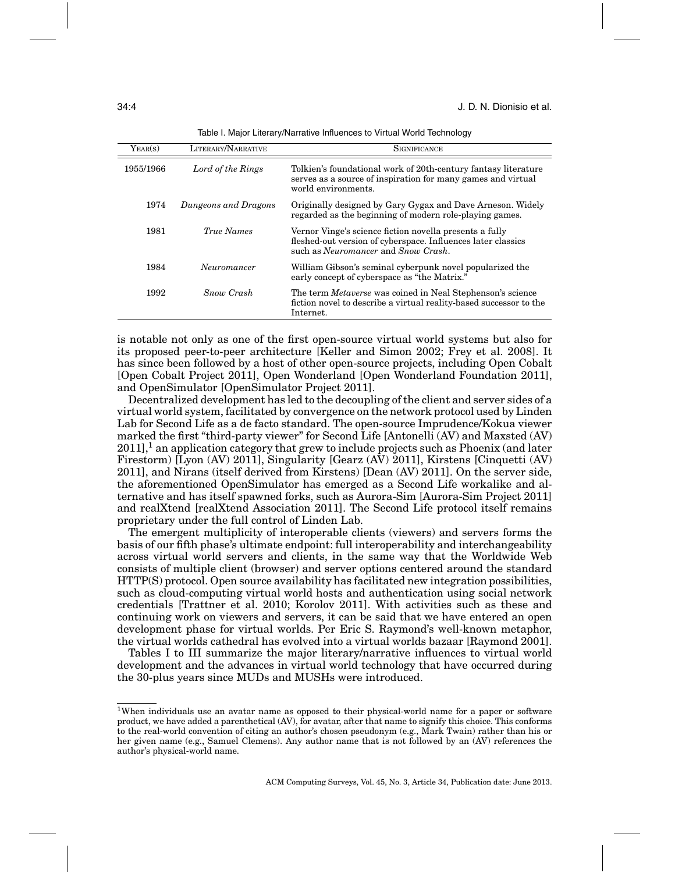| $Y_{EAR}(s)$ | LITERARY/NARRATIVE   | <b>SIGNIFICANCE</b>                                                                                                                                            |
|--------------|----------------------|----------------------------------------------------------------------------------------------------------------------------------------------------------------|
| 1955/1966    | Lord of the Rings    | Tolkien's foundational work of 20th-century fantasy literature<br>serves as a source of inspiration for many games and virtual<br>world environments.          |
| 1974         | Dungeons and Dragons | Originally designed by Gary Gygax and Dave Arneson. Widely<br>regarded as the beginning of modern role-playing games.                                          |
| 1981         | True Names           | Vernor Vinge's science fiction novella presents a fully<br>fleshed-out version of cyberspace. Influences later classics<br>such as Neuromancer and Snow Crash. |
| 1984         | Neuromancer          | William Gibson's seminal cyberpunk novel popularized the<br>early concept of cyberspace as "the Matrix."                                                       |
| 1992         | Snow Crash           | The term <i>Metaverse</i> was coined in Neal Stephenson's science<br>fiction novel to describe a virtual reality-based successor to the<br>Internet.           |

Table I. Major Literary/Narrative Influences to Virtual World Technology

is notable not only as one of the first open-source virtual world systems but also for its proposed peer-to-peer architecture [Keller and Simon 2002; Frey et al. 2008]. It has since been followed by a host of other open-source projects, including Open Cobalt [Open Cobalt Project 2011], Open Wonderland [Open Wonderland Foundation 2011], and OpenSimulator [OpenSimulator Project 2011].

Decentralized development has led to the decoupling of the client and server sides of a virtual world system, facilitated by convergence on the network protocol used by Linden Lab for Second Life as a de facto standard. The open-source Imprudence/Kokua viewer marked the first "third-party viewer" for Second Life [Antonelli (AV) and Maxsted (AV)  $2011$ ,<sup>1</sup> an application category that grew to include projects such as Phoenix (and later Firestorm) [Lyon (AV) 2011], Singularity [Gearz (AV) 2011], Kirstens [Cinquetti (AV) 2011], and Nirans (itself derived from Kirstens) [Dean (AV) 2011]. On the server side, the aforementioned OpenSimulator has emerged as a Second Life workalike and alternative and has itself spawned forks, such as Aurora-Sim [Aurora-Sim Project 2011] and realXtend [realXtend Association 2011]. The Second Life protocol itself remains proprietary under the full control of Linden Lab.

The emergent multiplicity of interoperable clients (viewers) and servers forms the basis of our fifth phase's ultimate endpoint: full interoperability and interchangeability across virtual world servers and clients, in the same way that the Worldwide Web consists of multiple client (browser) and server options centered around the standard HTTP(S) protocol. Open source availability has facilitated new integration possibilities, such as cloud-computing virtual world hosts and authentication using social network credentials [Trattner et al. 2010; Korolov 2011]. With activities such as these and continuing work on viewers and servers, it can be said that we have entered an open development phase for virtual worlds. Per Eric S. Raymond's well-known metaphor, the virtual worlds cathedral has evolved into a virtual worlds bazaar [Raymond 2001].

Tables I to III summarize the major literary/narrative influences to virtual world development and the advances in virtual world technology that have occurred during the 30-plus years since MUDs and MUSHs were introduced.

<sup>&</sup>lt;sup>1</sup>When individuals use an avatar name as opposed to their physical-world name for a paper or software product, we have added a parenthetical (AV), for avatar, after that name to signify this choice. This conforms to the real-world convention of citing an author's chosen pseudonym (e.g., Mark Twain) rather than his or her given name (e.g., Samuel Clemens). Any author name that is not followed by an (AV) references the author's physical-world name.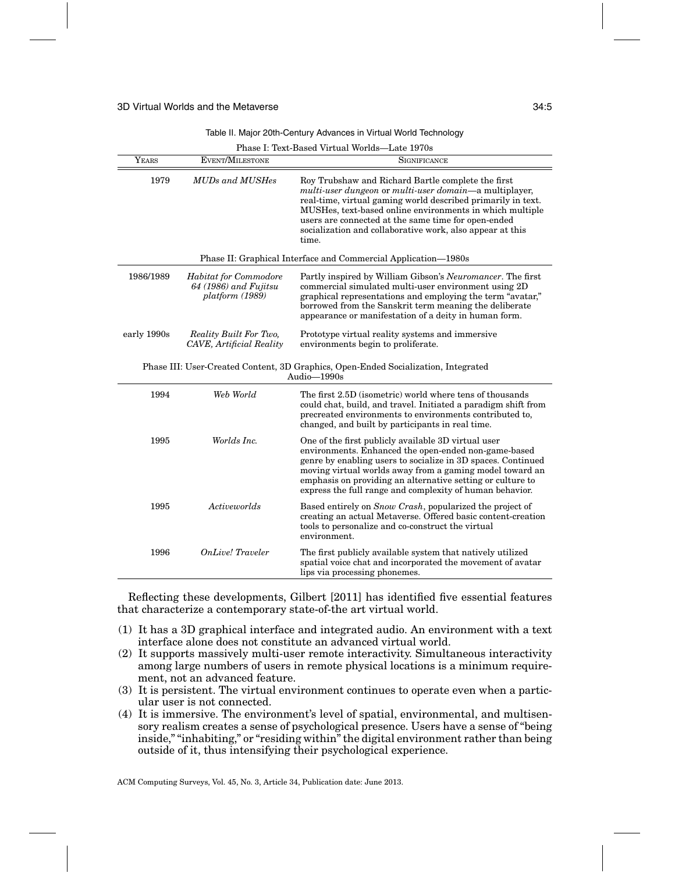Table II. Major 20th-Century Advances in Virtual World Technology

| Phase I: Text-Based Virtual Worlds-Late 1970s                                                     |                                                                          |                                                                                                                                                                                                                                                                                                                                                                       |  |  |  |
|---------------------------------------------------------------------------------------------------|--------------------------------------------------------------------------|-----------------------------------------------------------------------------------------------------------------------------------------------------------------------------------------------------------------------------------------------------------------------------------------------------------------------------------------------------------------------|--|--|--|
| <b>YEARS</b>                                                                                      | EVENT/MILESTONE                                                          | <b>SIGNIFICANCE</b>                                                                                                                                                                                                                                                                                                                                                   |  |  |  |
| 1979                                                                                              | MUDs and MUSHes                                                          | Roy Trubshaw and Richard Bartle complete the first<br>multi-user dungeon or multi-user domain—a multiplayer,<br>real-time, virtual gaming world described primarily in text.<br>MUSHes, text-based online environments in which multiple<br>users are connected at the same time for open-ended<br>socialization and collaborative work, also appear at this<br>time. |  |  |  |
| Phase II: Graphical Interface and Commercial Application—1980s                                    |                                                                          |                                                                                                                                                                                                                                                                                                                                                                       |  |  |  |
| 1986/1989                                                                                         | <b>Habitat for Commodore</b><br>64 (1986) and Fujitsu<br>platform (1989) | Partly inspired by William Gibson's Neuromancer. The first<br>commercial simulated multi-user environment using 2D<br>graphical representations and employing the term "avatar,"<br>borrowed from the Sanskrit term meaning the deliberate<br>appearance or manifestation of a deity in human form.                                                                   |  |  |  |
| early 1990s                                                                                       | Reality Built For Two.<br>CAVE, Artificial Reality                       | Prototype virtual reality systems and immersive<br>environments begin to proliferate.                                                                                                                                                                                                                                                                                 |  |  |  |
| Phase III: User-Created Content, 3D Graphics, Open-Ended Socialization, Integrated<br>Audio-1990s |                                                                          |                                                                                                                                                                                                                                                                                                                                                                       |  |  |  |
| 1994                                                                                              | Web World                                                                | The first 2.5D (isometric) world where tens of thousands<br>could chat, build, and travel. Initiated a paradigm shift from<br>precreated environments to environments contributed to,<br>changed, and built by participants in real time.                                                                                                                             |  |  |  |
| 1995                                                                                              | Worlds Inc.                                                              | One of the first publicly available 3D virtual user<br>environments. Enhanced the open-ended non-game-based<br>genre by enabling users to socialize in 3D spaces. Continued<br>moving virtual worlds away from a gaming model toward an<br>emphasis on providing an alternative setting or culture to<br>express the full range and complexity of human behavior.     |  |  |  |
| 1995                                                                                              | Activeworlds                                                             | Based entirely on Snow Crash, popularized the project of<br>creating an actual Metaverse. Offered basic content-creation<br>tools to personalize and co-construct the virtual<br>environment.                                                                                                                                                                         |  |  |  |
| 1996                                                                                              | <b>OnLive!</b> Traveler                                                  | The first publicly available system that natively utilized<br>spatial voice chat and incorporated the movement of avatar<br>lips via processing phonemes.                                                                                                                                                                                                             |  |  |  |

Reflecting these developments, Gilbert [2011] has identified five essential features that characterize a contemporary state-of-the art virtual world.

- (1) It has a 3D graphical interface and integrated audio. An environment with a text interface alone does not constitute an advanced virtual world.
- (2) It supports massively multi-user remote interactivity. Simultaneous interactivity among large numbers of users in remote physical locations is a minimum requirement, not an advanced feature.
- (3) It is persistent. The virtual environment continues to operate even when a particular user is not connected.
- (4) It is immersive. The environment's level of spatial, environmental, and multisensory realism creates a sense of psychological presence. Users have a sense of "being inside," "inhabiting," or "residing within" the digital environment rather than being outside of it, thus intensifying their psychological experience.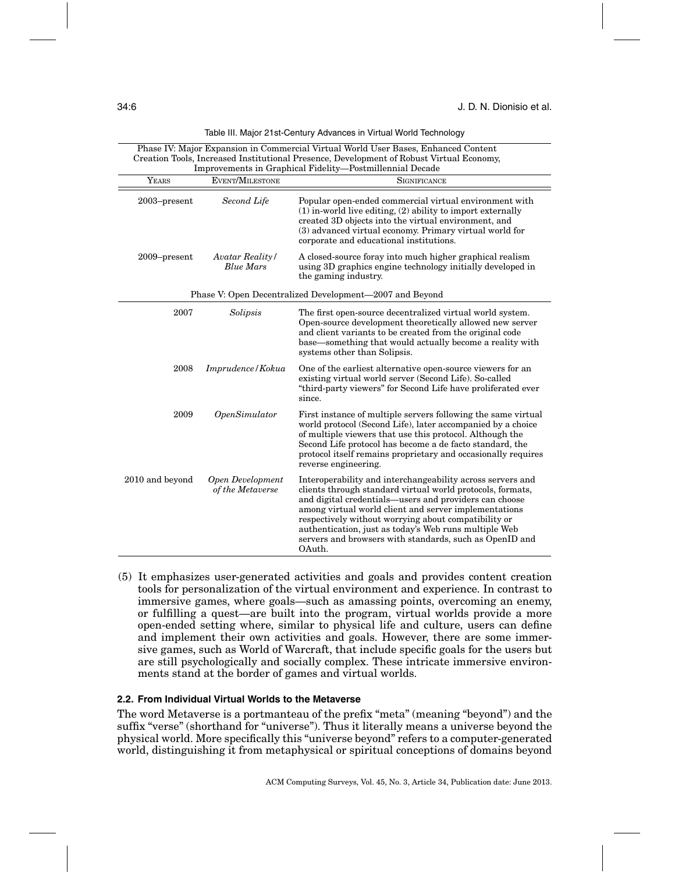| Phase IV: Major Expansion in Commercial Virtual World User Bases, Enhanced Content<br>Creation Tools, Increased Institutional Presence, Development of Robust Virtual Economy,<br>Improvements in Graphical Fidelity-Postmillennial Decade |                                      |                                                                                                                                                                                                                                                                                                                                                                                                                                   |  |  |  |  |
|--------------------------------------------------------------------------------------------------------------------------------------------------------------------------------------------------------------------------------------------|--------------------------------------|-----------------------------------------------------------------------------------------------------------------------------------------------------------------------------------------------------------------------------------------------------------------------------------------------------------------------------------------------------------------------------------------------------------------------------------|--|--|--|--|
| YEARS                                                                                                                                                                                                                                      | EVENT/MILESTONE                      | <b>SIGNIFICANCE</b>                                                                                                                                                                                                                                                                                                                                                                                                               |  |  |  |  |
| $2003$ -present                                                                                                                                                                                                                            | Second Life                          | Popular open-ended commercial virtual environment with<br>$(1)$ in-world live editing, $(2)$ ability to import externally<br>created 3D objects into the virtual environment, and<br>(3) advanced virtual economy. Primary virtual world for<br>corporate and educational institutions.                                                                                                                                           |  |  |  |  |
| $2009$ -present                                                                                                                                                                                                                            | Avatar Reality/<br><b>Blue Mars</b>  | A closed-source foray into much higher graphical realism<br>using 3D graphics engine technology initially developed in<br>the gaming industry.                                                                                                                                                                                                                                                                                    |  |  |  |  |
| Phase V: Open Decentralized Development—2007 and Beyond                                                                                                                                                                                    |                                      |                                                                                                                                                                                                                                                                                                                                                                                                                                   |  |  |  |  |
| 2007                                                                                                                                                                                                                                       | Solipsis                             | The first open-source decentralized virtual world system.<br>Open-source development theoretically allowed new server<br>and client variants to be created from the original code<br>base—something that would actually become a reality with<br>systems other than Solipsis.                                                                                                                                                     |  |  |  |  |
| 2008                                                                                                                                                                                                                                       | Imprudence / Kokua                   | One of the earliest alternative open-source viewers for an<br>existing virtual world server (Second Life). So-called<br>"third-party viewers" for Second Life have proliferated ever<br>since.                                                                                                                                                                                                                                    |  |  |  |  |
| 2009                                                                                                                                                                                                                                       | OpenSimulator                        | First instance of multiple servers following the same virtual<br>world protocol (Second Life), later accompanied by a choice<br>of multiple viewers that use this protocol. Although the<br>Second Life protocol has become a de facto standard, the<br>protocol itself remains proprietary and occasionally requires<br>reverse engineering.                                                                                     |  |  |  |  |
| 2010 and beyond                                                                                                                                                                                                                            | Open Development<br>of the Metaverse | Interoperability and interchangeability across servers and<br>clients through standard virtual world protocols, formats,<br>and digital credentials—users and providers can choose<br>among virtual world client and server implementations<br>respectively without worrying about compatibility or<br>authentication, just as today's Web runs multiple Web<br>servers and browsers with standards, such as OpenID and<br>OAuth. |  |  |  |  |

Table III. Major 21st-Century Advances in Virtual World Technology

(5) It emphasizes user-generated activities and goals and provides content creation tools for personalization of the virtual environment and experience. In contrast to immersive games, where goals—such as amassing points, overcoming an enemy, or fulfilling a quest—are built into the program, virtual worlds provide a more open-ended setting where, similar to physical life and culture, users can define and implement their own activities and goals. However, there are some immersive games, such as World of Warcraft, that include specific goals for the users but are still psychologically and socially complex. These intricate immersive environments stand at the border of games and virtual worlds.

#### **2.2. From Individual Virtual Worlds to the Metaverse**

The word Metaverse is a portmanteau of the prefix "meta" (meaning "beyond") and the suffix "verse" (shorthand for "universe"). Thus it literally means a universe beyond the physical world. More specifically this "universe beyond" refers to a computer-generated world, distinguishing it from metaphysical or spiritual conceptions of domains beyond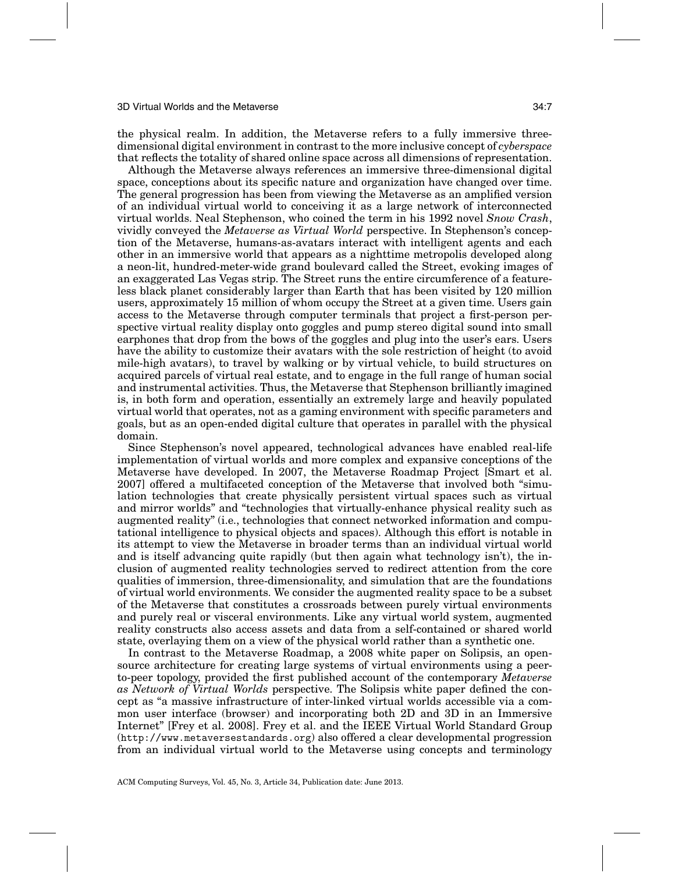the physical realm. In addition, the Metaverse refers to a fully immersive threedimensional digital environment in contrast to the more inclusive concept of *cyberspace* that reflects the totality of shared online space across all dimensions of representation.

Although the Metaverse always references an immersive three-dimensional digital space, conceptions about its specific nature and organization have changed over time. The general progression has been from viewing the Metaverse as an amplified version of an individual virtual world to conceiving it as a large network of interconnected virtual worlds. Neal Stephenson, who coined the term in his 1992 novel *Snow Crash*, vividly conveyed the *Metaverse as Virtual World* perspective. In Stephenson's conception of the Metaverse, humans-as-avatars interact with intelligent agents and each other in an immersive world that appears as a nighttime metropolis developed along a neon-lit, hundred-meter-wide grand boulevard called the Street, evoking images of an exaggerated Las Vegas strip. The Street runs the entire circumference of a featureless black planet considerably larger than Earth that has been visited by 120 million users, approximately 15 million of whom occupy the Street at a given time. Users gain access to the Metaverse through computer terminals that project a first-person perspective virtual reality display onto goggles and pump stereo digital sound into small earphones that drop from the bows of the goggles and plug into the user's ears. Users have the ability to customize their avatars with the sole restriction of height (to avoid mile-high avatars), to travel by walking or by virtual vehicle, to build structures on acquired parcels of virtual real estate, and to engage in the full range of human social and instrumental activities. Thus, the Metaverse that Stephenson brilliantly imagined is, in both form and operation, essentially an extremely large and heavily populated virtual world that operates, not as a gaming environment with specific parameters and goals, but as an open-ended digital culture that operates in parallel with the physical domain.

Since Stephenson's novel appeared, technological advances have enabled real-life implementation of virtual worlds and more complex and expansive conceptions of the Metaverse have developed. In 2007, the Metaverse Roadmap Project [Smart et al. 2007] offered a multifaceted conception of the Metaverse that involved both "simulation technologies that create physically persistent virtual spaces such as virtual and mirror worlds" and "technologies that virtually-enhance physical reality such as augmented reality" (i.e., technologies that connect networked information and computational intelligence to physical objects and spaces). Although this effort is notable in its attempt to view the Metaverse in broader terms than an individual virtual world and is itself advancing quite rapidly (but then again what technology isn't), the inclusion of augmented reality technologies served to redirect attention from the core qualities of immersion, three-dimensionality, and simulation that are the foundations of virtual world environments. We consider the augmented reality space to be a subset of the Metaverse that constitutes a crossroads between purely virtual environments and purely real or visceral environments. Like any virtual world system, augmented reality constructs also access assets and data from a self-contained or shared world state, overlaying them on a view of the physical world rather than a synthetic one.

In contrast to the Metaverse Roadmap, a 2008 white paper on Solipsis, an opensource architecture for creating large systems of virtual environments using a peerto-peer topology, provided the first published account of the contemporary *Metaverse as Network of Virtual Worlds* perspective. The Solipsis white paper defined the concept as "a massive infrastructure of inter-linked virtual worlds accessible via a common user interface (browser) and incorporating both 2D and 3D in an Immersive Internet" [Frey et al. 2008]. Frey et al. and the IEEE Virtual World Standard Group (http://www.metaversestandards.org) also offered a clear developmental progression from an individual virtual world to the Metaverse using concepts and terminology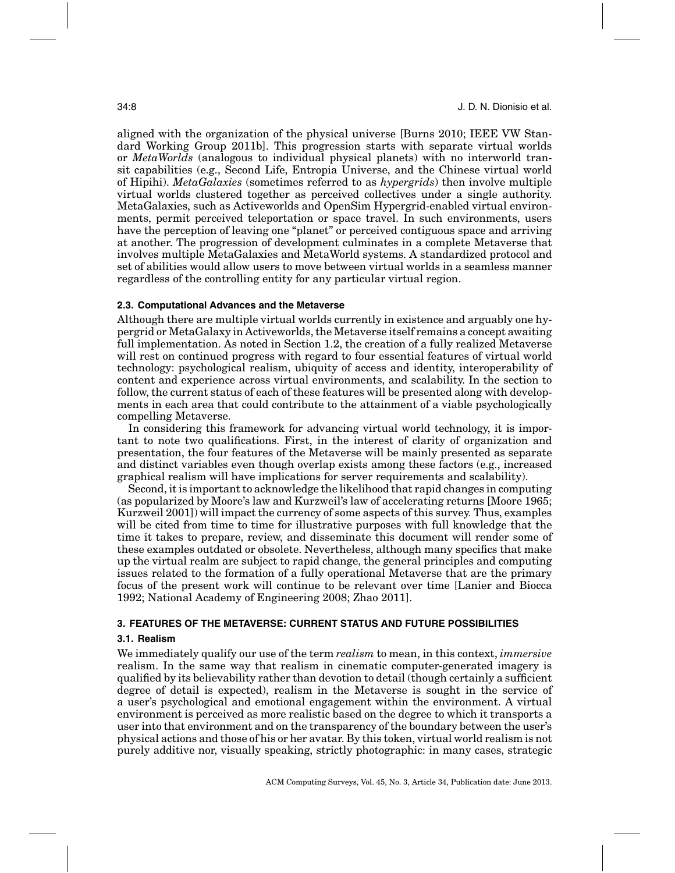aligned with the organization of the physical universe [Burns 2010; IEEE VW Standard Working Group 2011b]. This progression starts with separate virtual worlds or *MetaWorlds* (analogous to individual physical planets) with no interworld transit capabilities (e.g., Second Life, Entropia Universe, and the Chinese virtual world of Hipihi). *MetaGalaxies* (sometimes referred to as *hypergrids*) then involve multiple virtual worlds clustered together as perceived collectives under a single authority. MetaGalaxies, such as Activeworlds and OpenSim Hypergrid-enabled virtual environments, permit perceived teleportation or space travel. In such environments, users have the perception of leaving one "planet" or perceived contiguous space and arriving at another. The progression of development culminates in a complete Metaverse that involves multiple MetaGalaxies and MetaWorld systems. A standardized protocol and set of abilities would allow users to move between virtual worlds in a seamless manner regardless of the controlling entity for any particular virtual region.

#### **2.3. Computational Advances and the Metaverse**

Although there are multiple virtual worlds currently in existence and arguably one hypergrid or MetaGalaxy in Activeworlds, the Metaverse itself remains a concept awaiting full implementation. As noted in Section 1.2, the creation of a fully realized Metaverse will rest on continued progress with regard to four essential features of virtual world technology: psychological realism, ubiquity of access and identity, interoperability of content and experience across virtual environments, and scalability. In the section to follow, the current status of each of these features will be presented along with developments in each area that could contribute to the attainment of a viable psychologically compelling Metaverse.

In considering this framework for advancing virtual world technology, it is important to note two qualifications. First, in the interest of clarity of organization and presentation, the four features of the Metaverse will be mainly presented as separate and distinct variables even though overlap exists among these factors (e.g., increased graphical realism will have implications for server requirements and scalability).

Second, it is important to acknowledge the likelihood that rapid changes in computing (as popularized by Moore's law and Kurzweil's law of accelerating returns [Moore 1965; Kurzweil 2001]) will impact the currency of some aspects of this survey. Thus, examples will be cited from time to time for illustrative purposes with full knowledge that the time it takes to prepare, review, and disseminate this document will render some of these examples outdated or obsolete. Nevertheless, although many specifics that make up the virtual realm are subject to rapid change, the general principles and computing issues related to the formation of a fully operational Metaverse that are the primary focus of the present work will continue to be relevant over time [Lanier and Biocca 1992; National Academy of Engineering 2008; Zhao 2011].

#### **3. FEATURES OF THE METAVERSE: CURRENT STATUS AND FUTURE POSSIBILITIES**

#### **3.1. Realism**

We immediately qualify our use of the term *realism* to mean, in this context, *immersive* realism. In the same way that realism in cinematic computer-generated imagery is qualified by its believability rather than devotion to detail (though certainly a sufficient degree of detail is expected), realism in the Metaverse is sought in the service of a user's psychological and emotional engagement within the environment. A virtual environment is perceived as more realistic based on the degree to which it transports a user into that environment and on the transparency of the boundary between the user's physical actions and those of his or her avatar. By this token, virtual world realism is not purely additive nor, visually speaking, strictly photographic: in many cases, strategic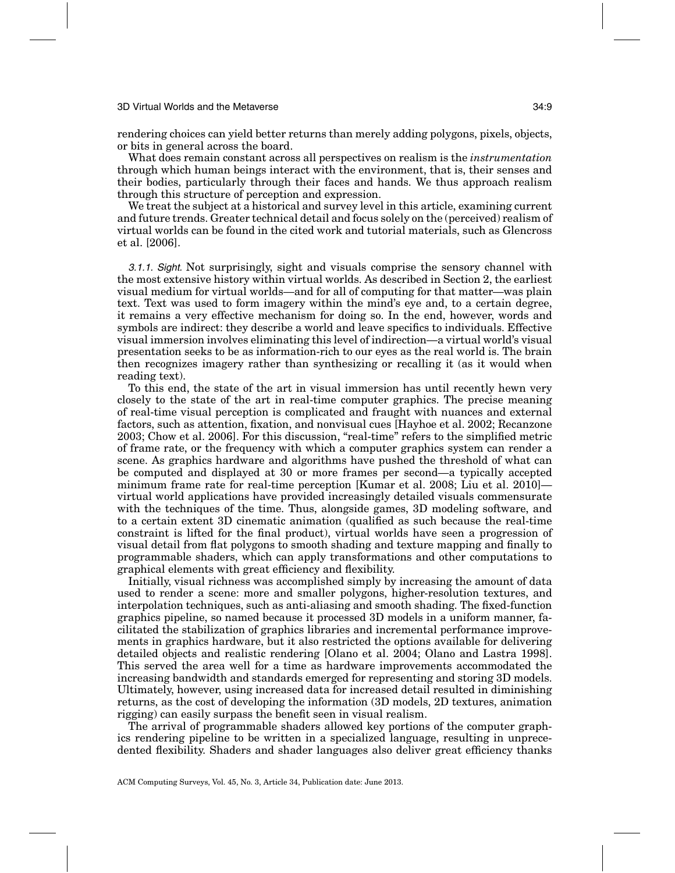rendering choices can yield better returns than merely adding polygons, pixels, objects, or bits in general across the board.

What does remain constant across all perspectives on realism is the *instrumentation* through which human beings interact with the environment, that is, their senses and their bodies, particularly through their faces and hands. We thus approach realism through this structure of perception and expression.

We treat the subject at a historical and survey level in this article, examining current and future trends. Greater technical detail and focus solely on the (perceived) realism of virtual worlds can be found in the cited work and tutorial materials, such as Glencross et al. [2006].

3.1.1. Sight. Not surprisingly, sight and visuals comprise the sensory channel with the most extensive history within virtual worlds. As described in Section 2, the earliest visual medium for virtual worlds—and for all of computing for that matter—was plain text. Text was used to form imagery within the mind's eye and, to a certain degree, it remains a very effective mechanism for doing so. In the end, however, words and symbols are indirect: they describe a world and leave specifics to individuals. Effective visual immersion involves eliminating this level of indirection—a virtual world's visual presentation seeks to be as information-rich to our eyes as the real world is. The brain then recognizes imagery rather than synthesizing or recalling it (as it would when reading text).

To this end, the state of the art in visual immersion has until recently hewn very closely to the state of the art in real-time computer graphics. The precise meaning of real-time visual perception is complicated and fraught with nuances and external factors, such as attention, fixation, and nonvisual cues [Hayhoe et al. 2002; Recanzone 2003; Chow et al. 2006]. For this discussion, "real-time" refers to the simplified metric of frame rate, or the frequency with which a computer graphics system can render a scene. As graphics hardware and algorithms have pushed the threshold of what can be computed and displayed at 30 or more frames per second—a typically accepted minimum frame rate for real-time perception [Kumar et al. 2008; Liu et al. 2010] virtual world applications have provided increasingly detailed visuals commensurate with the techniques of the time. Thus, alongside games, 3D modeling software, and to a certain extent 3D cinematic animation (qualified as such because the real-time constraint is lifted for the final product), virtual worlds have seen a progression of visual detail from flat polygons to smooth shading and texture mapping and finally to programmable shaders, which can apply transformations and other computations to graphical elements with great efficiency and flexibility.

Initially, visual richness was accomplished simply by increasing the amount of data used to render a scene: more and smaller polygons, higher-resolution textures, and interpolation techniques, such as anti-aliasing and smooth shading. The fixed-function graphics pipeline, so named because it processed 3D models in a uniform manner, facilitated the stabilization of graphics libraries and incremental performance improvements in graphics hardware, but it also restricted the options available for delivering detailed objects and realistic rendering [Olano et al. 2004; Olano and Lastra 1998]. This served the area well for a time as hardware improvements accommodated the increasing bandwidth and standards emerged for representing and storing 3D models. Ultimately, however, using increased data for increased detail resulted in diminishing returns, as the cost of developing the information (3D models, 2D textures, animation rigging) can easily surpass the benefit seen in visual realism.

The arrival of programmable shaders allowed key portions of the computer graphics rendering pipeline to be written in a specialized language, resulting in unprecedented flexibility. Shaders and shader languages also deliver great efficiency thanks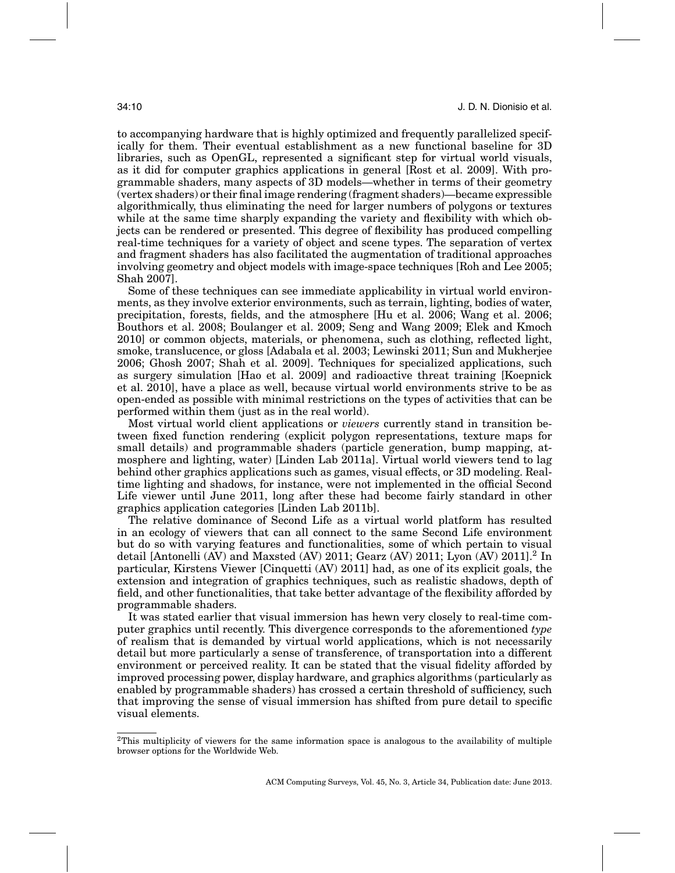to accompanying hardware that is highly optimized and frequently parallelized specifically for them. Their eventual establishment as a new functional baseline for 3D libraries, such as OpenGL, represented a significant step for virtual world visuals, as it did for computer graphics applications in general [Rost et al. 2009]. With programmable shaders, many aspects of 3D models—whether in terms of their geometry (vertex shaders) or their final image rendering (fragment shaders)—became expressible algorithmically, thus eliminating the need for larger numbers of polygons or textures while at the same time sharply expanding the variety and flexibility with which objects can be rendered or presented. This degree of flexibility has produced compelling real-time techniques for a variety of object and scene types. The separation of vertex and fragment shaders has also facilitated the augmentation of traditional approaches involving geometry and object models with image-space techniques [Roh and Lee 2005; Shah 2007].

Some of these techniques can see immediate applicability in virtual world environments, as they involve exterior environments, such as terrain, lighting, bodies of water, precipitation, forests, fields, and the atmosphere [Hu et al. 2006; Wang et al. 2006; Bouthors et al. 2008; Boulanger et al. 2009; Seng and Wang 2009; Elek and Kmoch 2010] or common objects, materials, or phenomena, such as clothing, reflected light, smoke, translucence, or gloss [Adabala et al. 2003; Lewinski 2011; Sun and Mukherjee 2006; Ghosh 2007; Shah et al. 2009]. Techniques for specialized applications, such as surgery simulation [Hao et al. 2009] and radioactive threat training [Koepnick et al. 2010], have a place as well, because virtual world environments strive to be as open-ended as possible with minimal restrictions on the types of activities that can be performed within them (just as in the real world).

Most virtual world client applications or *viewers* currently stand in transition between fixed function rendering (explicit polygon representations, texture maps for small details) and programmable shaders (particle generation, bump mapping, atmosphere and lighting, water) [Linden Lab 2011a]. Virtual world viewers tend to lag behind other graphics applications such as games, visual effects, or 3D modeling. Realtime lighting and shadows, for instance, were not implemented in the official Second Life viewer until June 2011, long after these had become fairly standard in other graphics application categories [Linden Lab 2011b].

The relative dominance of Second Life as a virtual world platform has resulted in an ecology of viewers that can all connect to the same Second Life environment but do so with varying features and functionalities, some of which pertain to visual detail [Antonelli (AV) and Maxsted (AV) 2011; Gearz (AV) 2011; Lyon (AV) 2011].<sup>2</sup> In particular, Kirstens Viewer [Cinquetti (AV) 2011] had, as one of its explicit goals, the extension and integration of graphics techniques, such as realistic shadows, depth of field, and other functionalities, that take better advantage of the flexibility afforded by programmable shaders.

It was stated earlier that visual immersion has hewn very closely to real-time computer graphics until recently. This divergence corresponds to the aforementioned *type* of realism that is demanded by virtual world applications, which is not necessarily detail but more particularly a sense of transference, of transportation into a different environment or perceived reality. It can be stated that the visual fidelity afforded by improved processing power, display hardware, and graphics algorithms (particularly as enabled by programmable shaders) has crossed a certain threshold of sufficiency, such that improving the sense of visual immersion has shifted from pure detail to specific visual elements.

 $2$ This multiplicity of viewers for the same information space is analogous to the availability of multiple browser options for the Worldwide Web.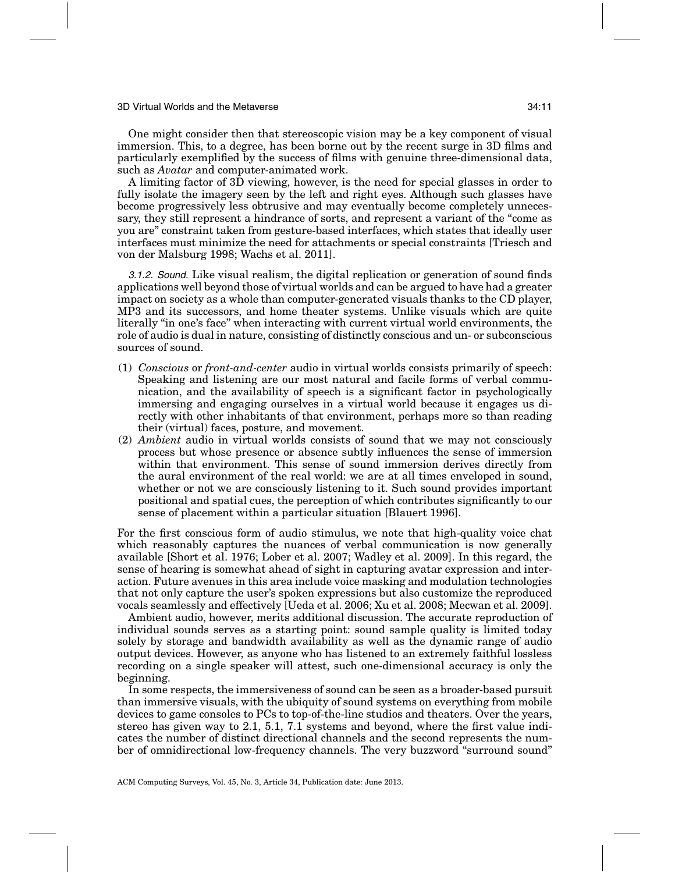One might consider then that stereoscopic vision may be a key component of visual immersion. This, to a degree, has been borne out by the recent surge in 3D films and particularly exemplified by the success of films with genuine three-dimensional data, such as *Avatar* and computer-animated work.

A limiting factor of 3D viewing, however, is the need for special glasses in order to fully isolate the imagery seen by the left and right eyes. Although such glasses have become progressively less obtrusive and may eventually become completely unnecessary, they still represent a hindrance of sorts, and represent a variant of the "come as you are" constraint taken from gesture-based interfaces, which states that ideally user interfaces must minimize the need for attachments or special constraints [Triesch and von der Malsburg 1998; Wachs et al. 2011].

3.1.2. Sound. Like visual realism, the digital replication or generation of sound finds applications well beyond those of virtual worlds and can be argued to have had a greater impact on society as a whole than computer-generated visuals thanks to the CD player, MP3 and its successors, and home theater systems. Unlike visuals which are quite literally "in one's face" when interacting with current virtual world environments, the role of audio is dual in nature, consisting of distinctly conscious and un- or subconscious sources of sound.

- (1) *Conscious* or *front-and-center* audio in virtual worlds consists primarily of speech: Speaking and listening are our most natural and facile forms of verbal communication, and the availability of speech is a significant factor in psychologically immersing and engaging ourselves in a virtual world because it engages us directly with other inhabitants of that environment, perhaps more so than reading their (virtual) faces, posture, and movement.
- (2) *Ambient* audio in virtual worlds consists of sound that we may not consciously process but whose presence or absence subtly influences the sense of immersion within that environment. This sense of sound immersion derives directly from the aural environment of the real world: we are at all times enveloped in sound, whether or not we are consciously listening to it. Such sound provides important positional and spatial cues, the perception of which contributes significantly to our sense of placement within a particular situation [Blauert 1996].

For the first conscious form of audio stimulus, we note that high-quality voice chat which reasonably captures the nuances of verbal communication is now generally available [Short et al. 1976; Lober et al. 2007; Wadley et al. 2009]. In this regard, the sense of hearing is somewhat ahead of sight in capturing avatar expression and interaction. Future avenues in this area include voice masking and modulation technologies that not only capture the user's spoken expressions but also customize the reproduced vocals seamlessly and effectively [Ueda et al. 2006; Xu et al. 2008; Mecwan et al. 2009].

Ambient audio, however, merits additional discussion. The accurate reproduction of individual sounds serves as a starting point: sound sample quality is limited today solely by storage and bandwidth availability as well as the dynamic range of audio output devices. However, as anyone who has listened to an extremely faithful lossless recording on a single speaker will attest, such one-dimensional accuracy is only the beginning.

In some respects, the immersiveness of sound can be seen as a broader-based pursuit than immersive visuals, with the ubiquity of sound systems on everything from mobile devices to game consoles to PCs to top-of-the-line studios and theaters. Over the years, stereo has given way to 2.1, 5.1, 7.1 systems and beyond, where the first value indicates the number of distinct directional channels and the second represents the number of omnidirectional low-frequency channels. The very buzzword "surround sound"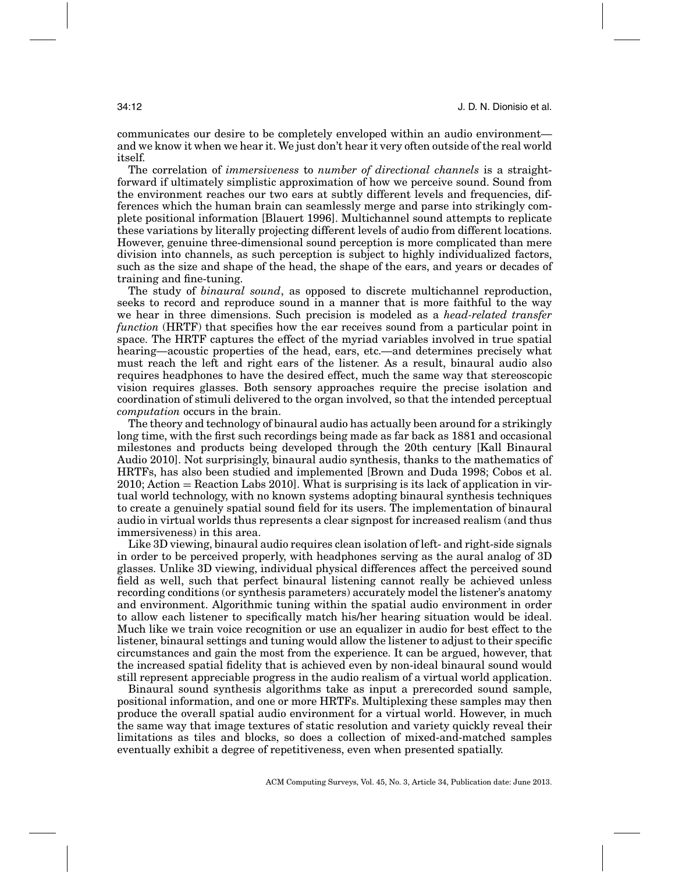communicates our desire to be completely enveloped within an audio environment and we know it when we hear it. We just don't hear it very often outside of the real world itself.

The correlation of *immersiveness* to *number of directional channels* is a straightforward if ultimately simplistic approximation of how we perceive sound. Sound from the environment reaches our two ears at subtly different levels and frequencies, differences which the human brain can seamlessly merge and parse into strikingly complete positional information [Blauert 1996]. Multichannel sound attempts to replicate these variations by literally projecting different levels of audio from different locations. However, genuine three-dimensional sound perception is more complicated than mere division into channels, as such perception is subject to highly individualized factors, such as the size and shape of the head, the shape of the ears, and years or decades of training and fine-tuning.

The study of *binaural sound*, as opposed to discrete multichannel reproduction, seeks to record and reproduce sound in a manner that is more faithful to the way we hear in three dimensions. Such precision is modeled as a *head-related transfer function* (HRTF) that specifies how the ear receives sound from a particular point in space. The HRTF captures the effect of the myriad variables involved in true spatial hearing—acoustic properties of the head, ears, etc.—and determines precisely what must reach the left and right ears of the listener. As a result, binaural audio also requires headphones to have the desired effect, much the same way that stereoscopic vision requires glasses. Both sensory approaches require the precise isolation and coordination of stimuli delivered to the organ involved, so that the intended perceptual *computation* occurs in the brain.

The theory and technology of binaural audio has actually been around for a strikingly long time, with the first such recordings being made as far back as 1881 and occasional milestones and products being developed through the 20th century [Kall Binaural Audio 2010]. Not surprisingly, binaural audio synthesis, thanks to the mathematics of HRTFs, has also been studied and implemented [Brown and Duda 1998; Cobos et al. 2010; Action = Reaction Labs 2010]. What is surprising is its lack of application in virtual world technology, with no known systems adopting binaural synthesis techniques to create a genuinely spatial sound field for its users. The implementation of binaural audio in virtual worlds thus represents a clear signpost for increased realism (and thus immersiveness) in this area.

Like 3D viewing, binaural audio requires clean isolation of left- and right-side signals in order to be perceived properly, with headphones serving as the aural analog of 3D glasses. Unlike 3D viewing, individual physical differences affect the perceived sound field as well, such that perfect binaural listening cannot really be achieved unless recording conditions (or synthesis parameters) accurately model the listener's anatomy and environment. Algorithmic tuning within the spatial audio environment in order to allow each listener to specifically match his/her hearing situation would be ideal. Much like we train voice recognition or use an equalizer in audio for best effect to the listener, binaural settings and tuning would allow the listener to adjust to their specific circumstances and gain the most from the experience. It can be argued, however, that the increased spatial fidelity that is achieved even by non-ideal binaural sound would still represent appreciable progress in the audio realism of a virtual world application.

Binaural sound synthesis algorithms take as input a prerecorded sound sample, positional information, and one or more HRTFs. Multiplexing these samples may then produce the overall spatial audio environment for a virtual world. However, in much the same way that image textures of static resolution and variety quickly reveal their limitations as tiles and blocks, so does a collection of mixed-and-matched samples eventually exhibit a degree of repetitiveness, even when presented spatially.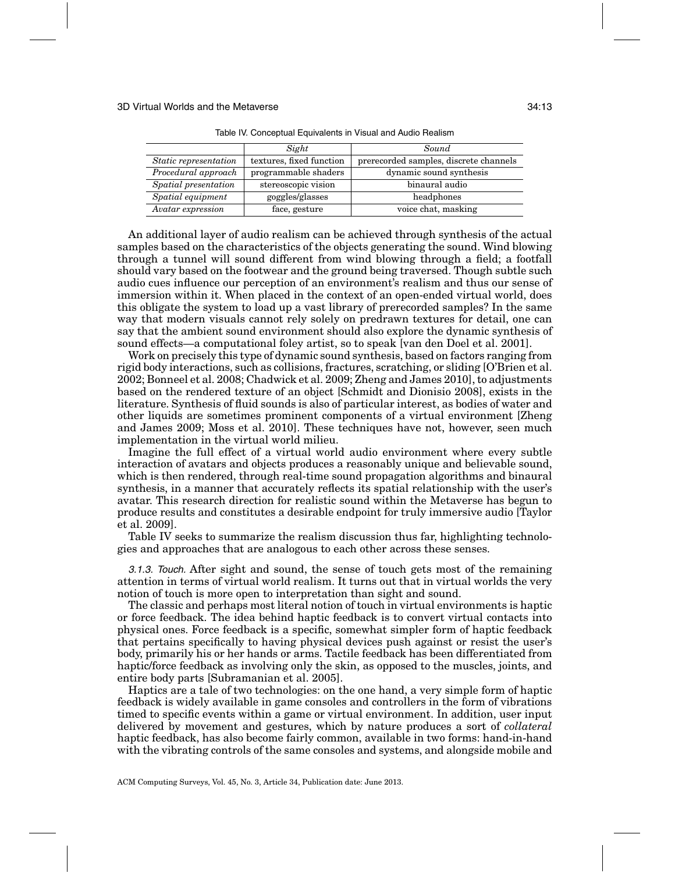|                       | Sight                    | Sound                                  |
|-----------------------|--------------------------|----------------------------------------|
| Static representation | textures, fixed function | prerecorded samples, discrete channels |
| Procedural approach   | programmable shaders     | dynamic sound synthesis                |
| Spatial presentation  | stereoscopic vision      | binaural audio                         |
| Spatial equipment     | goggles/glasses          | headphones                             |
| Avatar expression     | face, gesture            | voice chat, masking                    |

Table IV. Conceptual Equivalents in Visual and Audio Realism

An additional layer of audio realism can be achieved through synthesis of the actual samples based on the characteristics of the objects generating the sound. Wind blowing through a tunnel will sound different from wind blowing through a field; a footfall should vary based on the footwear and the ground being traversed. Though subtle such audio cues influence our perception of an environment's realism and thus our sense of immersion within it. When placed in the context of an open-ended virtual world, does this obligate the system to load up a vast library of prerecorded samples? In the same way that modern visuals cannot rely solely on predrawn textures for detail, one can say that the ambient sound environment should also explore the dynamic synthesis of sound effects—a computational foley artist, so to speak [van den Doel et al. 2001].

Work on precisely this type of dynamic sound synthesis, based on factors ranging from rigid body interactions, such as collisions, fractures, scratching, or sliding [O'Brien et al. 2002; Bonneel et al. 2008; Chadwick et al. 2009; Zheng and James 2010], to adjustments based on the rendered texture of an object [Schmidt and Dionisio 2008], exists in the literature. Synthesis of fluid sounds is also of particular interest, as bodies of water and other liquids are sometimes prominent components of a virtual environment [Zheng and James 2009; Moss et al. 2010]. These techniques have not, however, seen much implementation in the virtual world milieu.

Imagine the full effect of a virtual world audio environment where every subtle interaction of avatars and objects produces a reasonably unique and believable sound, which is then rendered, through real-time sound propagation algorithms and binaural synthesis, in a manner that accurately reflects its spatial relationship with the user's avatar. This research direction for realistic sound within the Metaverse has begun to produce results and constitutes a desirable endpoint for truly immersive audio [Taylor et al. 2009].

Table IV seeks to summarize the realism discussion thus far, highlighting technologies and approaches that are analogous to each other across these senses.

3.1.3. Touch. After sight and sound, the sense of touch gets most of the remaining attention in terms of virtual world realism. It turns out that in virtual worlds the very notion of touch is more open to interpretation than sight and sound.

The classic and perhaps most literal notion of touch in virtual environments is haptic or force feedback. The idea behind haptic feedback is to convert virtual contacts into physical ones. Force feedback is a specific, somewhat simpler form of haptic feedback that pertains specifically to having physical devices push against or resist the user's body, primarily his or her hands or arms. Tactile feedback has been differentiated from haptic/force feedback as involving only the skin, as opposed to the muscles, joints, and entire body parts [Subramanian et al. 2005].

Haptics are a tale of two technologies: on the one hand, a very simple form of haptic feedback is widely available in game consoles and controllers in the form of vibrations timed to specific events within a game or virtual environment. In addition, user input delivered by movement and gestures, which by nature produces a sort of *collateral* haptic feedback, has also become fairly common, available in two forms: hand-in-hand with the vibrating controls of the same consoles and systems, and alongside mobile and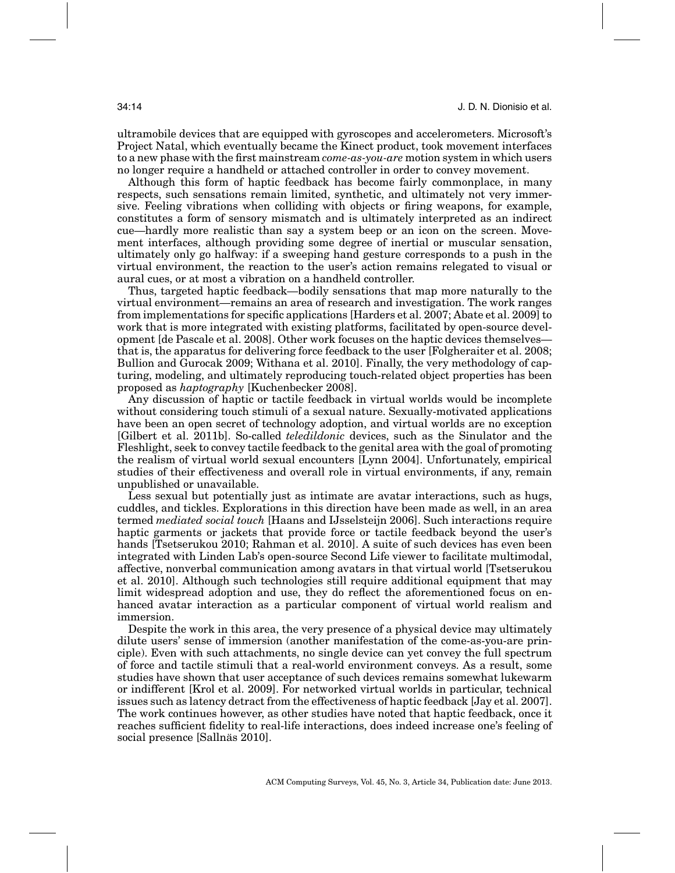ultramobile devices that are equipped with gyroscopes and accelerometers. Microsoft's Project Natal, which eventually became the Kinect product, took movement interfaces to a new phase with the first mainstream *come-as-you-are* motion system in which users no longer require a handheld or attached controller in order to convey movement.

Although this form of haptic feedback has become fairly commonplace, in many respects, such sensations remain limited, synthetic, and ultimately not very immersive. Feeling vibrations when colliding with objects or firing weapons, for example, constitutes a form of sensory mismatch and is ultimately interpreted as an indirect cue—hardly more realistic than say a system beep or an icon on the screen. Movement interfaces, although providing some degree of inertial or muscular sensation, ultimately only go halfway: if a sweeping hand gesture corresponds to a push in the virtual environment, the reaction to the user's action remains relegated to visual or aural cues, or at most a vibration on a handheld controller.

Thus, targeted haptic feedback—bodily sensations that map more naturally to the virtual environment—remains an area of research and investigation. The work ranges from implementations for specific applications [Harders et al. 2007; Abate et al. 2009] to work that is more integrated with existing platforms, facilitated by open-source development [de Pascale et al. 2008]. Other work focuses on the haptic devices themselves that is, the apparatus for delivering force feedback to the user [Folgheraiter et al. 2008; Bullion and Gurocak 2009; Withana et al. 2010]. Finally, the very methodology of capturing, modeling, and ultimately reproducing touch-related object properties has been proposed as *haptography* [Kuchenbecker 2008].

Any discussion of haptic or tactile feedback in virtual worlds would be incomplete without considering touch stimuli of a sexual nature. Sexually-motivated applications have been an open secret of technology adoption, and virtual worlds are no exception [Gilbert et al. 2011b]. So-called *teledildonic* devices, such as the Sinulator and the Fleshlight, seek to convey tactile feedback to the genital area with the goal of promoting the realism of virtual world sexual encounters [Lynn 2004]. Unfortunately, empirical studies of their effectiveness and overall role in virtual environments, if any, remain unpublished or unavailable.

Less sexual but potentially just as intimate are avatar interactions, such as hugs, cuddles, and tickles. Explorations in this direction have been made as well, in an area termed *mediated social touch* [Haans and IJsselsteijn 2006]. Such interactions require haptic garments or jackets that provide force or tactile feedback beyond the user's hands [Tsetserukou 2010; Rahman et al. 2010]. A suite of such devices has even been integrated with Linden Lab's open-source Second Life viewer to facilitate multimodal, affective, nonverbal communication among avatars in that virtual world [Tsetserukou et al. 2010]. Although such technologies still require additional equipment that may limit widespread adoption and use, they do reflect the aforementioned focus on enhanced avatar interaction as a particular component of virtual world realism and immersion.

Despite the work in this area, the very presence of a physical device may ultimately dilute users' sense of immersion (another manifestation of the come-as-you-are principle). Even with such attachments, no single device can yet convey the full spectrum of force and tactile stimuli that a real-world environment conveys. As a result, some studies have shown that user acceptance of such devices remains somewhat lukewarm or indifferent [Krol et al. 2009]. For networked virtual worlds in particular, technical issues such as latency detract from the effectiveness of haptic feedback [Jay et al. 2007]. The work continues however, as other studies have noted that haptic feedback, once it reaches sufficient fidelity to real-life interactions, does indeed increase one's feeling of social presence [Sallnäs 2010].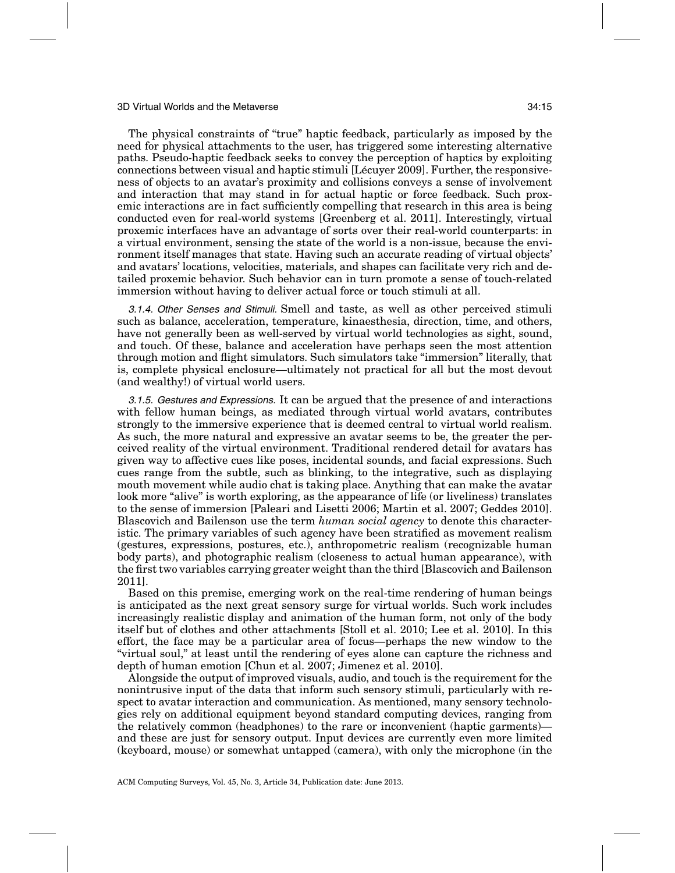The physical constraints of "true" haptic feedback, particularly as imposed by the need for physical attachments to the user, has triggered some interesting alternative paths. Pseudo-haptic feedback seeks to convey the perception of haptics by exploiting connections between visual and haptic stimuli [Lécuyer 2009]. Further, the responsiveness of objects to an avatar's proximity and collisions conveys a sense of involvement and interaction that may stand in for actual haptic or force feedback. Such proxemic interactions are in fact sufficiently compelling that research in this area is being conducted even for real-world systems [Greenberg et al. 2011]. Interestingly, virtual proxemic interfaces have an advantage of sorts over their real-world counterparts: in a virtual environment, sensing the state of the world is a non-issue, because the environment itself manages that state. Having such an accurate reading of virtual objects' and avatars' locations, velocities, materials, and shapes can facilitate very rich and detailed proxemic behavior. Such behavior can in turn promote a sense of touch-related immersion without having to deliver actual force or touch stimuli at all.

3.1.4. Other Senses and Stimuli. Smell and taste, as well as other perceived stimuli such as balance, acceleration, temperature, kinaesthesia, direction, time, and others, have not generally been as well-served by virtual world technologies as sight, sound, and touch. Of these, balance and acceleration have perhaps seen the most attention through motion and flight simulators. Such simulators take "immersion" literally, that is, complete physical enclosure—ultimately not practical for all but the most devout (and wealthy!) of virtual world users.

3.1.5. Gestures and Expressions. It can be argued that the presence of and interactions with fellow human beings, as mediated through virtual world avatars, contributes strongly to the immersive experience that is deemed central to virtual world realism. As such, the more natural and expressive an avatar seems to be, the greater the perceived reality of the virtual environment. Traditional rendered detail for avatars has given way to affective cues like poses, incidental sounds, and facial expressions. Such cues range from the subtle, such as blinking, to the integrative, such as displaying mouth movement while audio chat is taking place. Anything that can make the avatar look more "alive" is worth exploring, as the appearance of life (or liveliness) translates to the sense of immersion [Paleari and Lisetti 2006; Martin et al. 2007; Geddes 2010]. Blascovich and Bailenson use the term *human social agency* to denote this characteristic. The primary variables of such agency have been stratified as movement realism (gestures, expressions, postures, etc.), anthropometric realism (recognizable human body parts), and photographic realism (closeness to actual human appearance), with the first two variables carrying greater weight than the third [Blascovich and Bailenson 2011].

Based on this premise, emerging work on the real-time rendering of human beings is anticipated as the next great sensory surge for virtual worlds. Such work includes increasingly realistic display and animation of the human form, not only of the body itself but of clothes and other attachments [Stoll et al. 2010; Lee et al. 2010]. In this effort, the face may be a particular area of focus—perhaps the new window to the "virtual soul," at least until the rendering of eyes alone can capture the richness and depth of human emotion [Chun et al. 2007; Jimenez et al. 2010].

Alongside the output of improved visuals, audio, and touch is the requirement for the nonintrusive input of the data that inform such sensory stimuli, particularly with respect to avatar interaction and communication. As mentioned, many sensory technologies rely on additional equipment beyond standard computing devices, ranging from the relatively common (headphones) to the rare or inconvenient (haptic garments) and these are just for sensory output. Input devices are currently even more limited (keyboard, mouse) or somewhat untapped (camera), with only the microphone (in the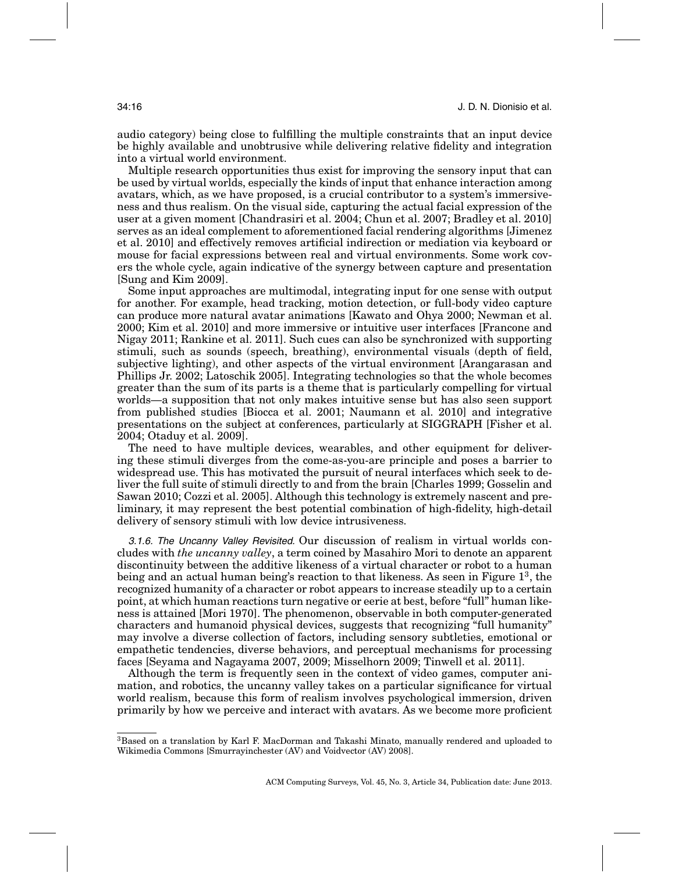audio category) being close to fulfilling the multiple constraints that an input device be highly available and unobtrusive while delivering relative fidelity and integration into a virtual world environment.

Multiple research opportunities thus exist for improving the sensory input that can be used by virtual worlds, especially the kinds of input that enhance interaction among avatars, which, as we have proposed, is a crucial contributor to a system's immersiveness and thus realism. On the visual side, capturing the actual facial expression of the user at a given moment [Chandrasiri et al. 2004; Chun et al. 2007; Bradley et al. 2010] serves as an ideal complement to aforementioned facial rendering algorithms [Jimenez et al. 2010] and effectively removes artificial indirection or mediation via keyboard or mouse for facial expressions between real and virtual environments. Some work covers the whole cycle, again indicative of the synergy between capture and presentation [Sung and Kim 2009].

Some input approaches are multimodal, integrating input for one sense with output for another. For example, head tracking, motion detection, or full-body video capture can produce more natural avatar animations [Kawato and Ohya 2000; Newman et al. 2000; Kim et al. 2010] and more immersive or intuitive user interfaces [Francone and Nigay 2011; Rankine et al. 2011]. Such cues can also be synchronized with supporting stimuli, such as sounds (speech, breathing), environmental visuals (depth of field, subjective lighting), and other aspects of the virtual environment [Arangarasan and Phillips Jr. 2002; Latoschik 2005]. Integrating technologies so that the whole becomes greater than the sum of its parts is a theme that is particularly compelling for virtual worlds—a supposition that not only makes intuitive sense but has also seen support from published studies [Biocca et al. 2001; Naumann et al. 2010] and integrative presentations on the subject at conferences, particularly at SIGGRAPH [Fisher et al. 2004; Otaduy et al. 2009].

The need to have multiple devices, wearables, and other equipment for delivering these stimuli diverges from the come-as-you-are principle and poses a barrier to widespread use. This has motivated the pursuit of neural interfaces which seek to deliver the full suite of stimuli directly to and from the brain [Charles 1999; Gosselin and Sawan 2010; Cozzi et al. 2005]. Although this technology is extremely nascent and preliminary, it may represent the best potential combination of high-fidelity, high-detail delivery of sensory stimuli with low device intrusiveness.

3.1.6. The Uncanny Valley Revisited. Our discussion of realism in virtual worlds concludes with *the uncanny valley*, a term coined by Masahiro Mori to denote an apparent discontinuity between the additive likeness of a virtual character or robot to a human being and an actual human being's reaction to that likeness. As seen in Figure  $1<sup>3</sup>$ , the recognized humanity of a character or robot appears to increase steadily up to a certain point, at which human reactions turn negative or eerie at best, before "full" human likeness is attained [Mori 1970]. The phenomenon, observable in both computer-generated characters and humanoid physical devices, suggests that recognizing "full humanity" may involve a diverse collection of factors, including sensory subtleties, emotional or empathetic tendencies, diverse behaviors, and perceptual mechanisms for processing faces [Seyama and Nagayama 2007, 2009; Misselhorn 2009; Tinwell et al. 2011].

Although the term is frequently seen in the context of video games, computer animation, and robotics, the uncanny valley takes on a particular significance for virtual world realism, because this form of realism involves psychological immersion, driven primarily by how we perceive and interact with avatars. As we become more proficient

 ${}^{3}$ Based on a translation by Karl F. MacDorman and Takashi Minato, manually rendered and uploaded to Wikimedia Commons [Smurrayinchester (AV) and Voidvector (AV) 2008].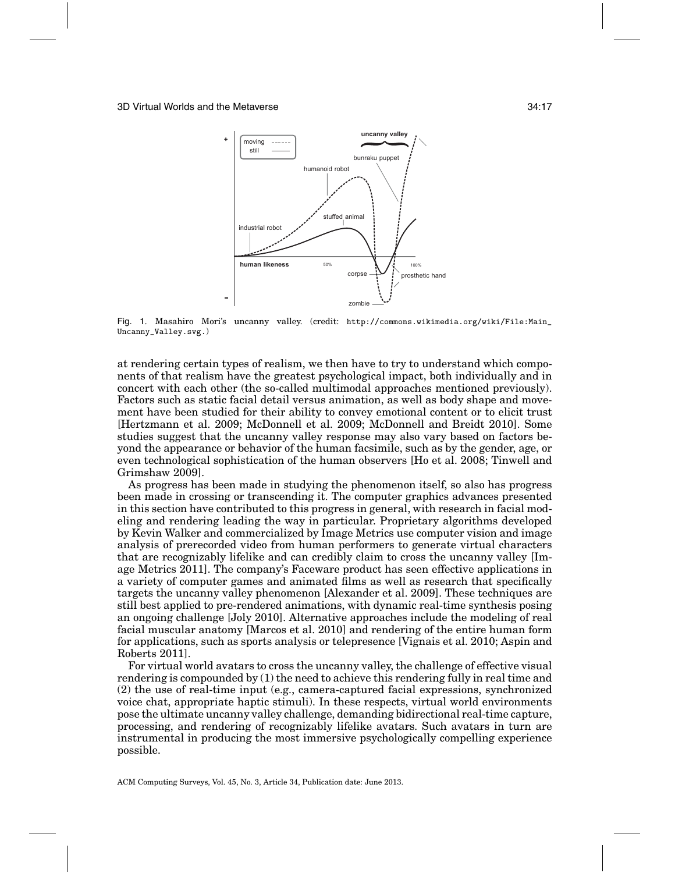

Fig. 1. Masahiro Mori's uncanny valley. (credit: http://commons.wikimedia.org/wiki/File:Main\_ Uncanny\_Valley.svg.)

at rendering certain types of realism, we then have to try to understand which components of that realism have the greatest psychological impact, both individually and in concert with each other (the so-called multimodal approaches mentioned previously). Factors such as static facial detail versus animation, as well as body shape and movement have been studied for their ability to convey emotional content or to elicit trust [Hertzmann et al. 2009; McDonnell et al. 2009; McDonnell and Breidt 2010]. Some studies suggest that the uncanny valley response may also vary based on factors beyond the appearance or behavior of the human facsimile, such as by the gender, age, or even technological sophistication of the human observers [Ho et al. 2008; Tinwell and Grimshaw 2009].

As progress has been made in studying the phenomenon itself, so also has progress been made in crossing or transcending it. The computer graphics advances presented in this section have contributed to this progress in general, with research in facial modeling and rendering leading the way in particular. Proprietary algorithms developed by Kevin Walker and commercialized by Image Metrics use computer vision and image analysis of prerecorded video from human performers to generate virtual characters that are recognizably lifelike and can credibly claim to cross the uncanny valley [Image Metrics 2011]. The company's Faceware product has seen effective applications in a variety of computer games and animated films as well as research that specifically targets the uncanny valley phenomenon [Alexander et al. 2009]. These techniques are still best applied to pre-rendered animations, with dynamic real-time synthesis posing an ongoing challenge [Joly 2010]. Alternative approaches include the modeling of real facial muscular anatomy [Marcos et al. 2010] and rendering of the entire human form for applications, such as sports analysis or telepresence [Vignais et al. 2010; Aspin and Roberts 2011].

For virtual world avatars to cross the uncanny valley, the challenge of effective visual rendering is compounded by (1) the need to achieve this rendering fully in real time and (2) the use of real-time input (e.g., camera-captured facial expressions, synchronized voice chat, appropriate haptic stimuli). In these respects, virtual world environments pose the ultimate uncanny valley challenge, demanding bidirectional real-time capture, processing, and rendering of recognizably lifelike avatars. Such avatars in turn are instrumental in producing the most immersive psychologically compelling experience possible.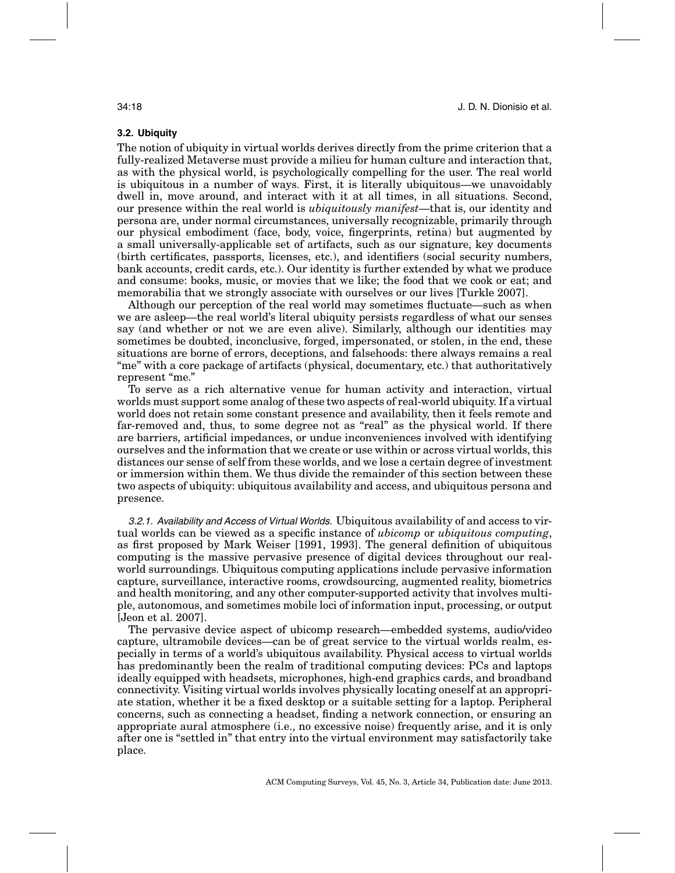#### **3.2. Ubiquity**

The notion of ubiquity in virtual worlds derives directly from the prime criterion that a fully-realized Metaverse must provide a milieu for human culture and interaction that, as with the physical world, is psychologically compelling for the user. The real world is ubiquitous in a number of ways. First, it is literally ubiquitous—we unavoidably dwell in, move around, and interact with it at all times, in all situations. Second, our presence within the real world is *ubiquitously manifest*—that is, our identity and persona are, under normal circumstances, universally recognizable, primarily through our physical embodiment (face, body, voice, fingerprints, retina) but augmented by a small universally-applicable set of artifacts, such as our signature, key documents (birth certificates, passports, licenses, etc.), and identifiers (social security numbers, bank accounts, credit cards, etc.). Our identity is further extended by what we produce and consume: books, music, or movies that we like; the food that we cook or eat; and memorabilia that we strongly associate with ourselves or our lives [Turkle 2007].

Although our perception of the real world may sometimes fluctuate—such as when we are asleep—the real world's literal ubiquity persists regardless of what our senses say (and whether or not we are even alive). Similarly, although our identities may sometimes be doubted, inconclusive, forged, impersonated, or stolen, in the end, these situations are borne of errors, deceptions, and falsehoods: there always remains a real "me" with a core package of artifacts (physical, documentary, etc.) that authoritatively represent "me."

To serve as a rich alternative venue for human activity and interaction, virtual worlds must support some analog of these two aspects of real-world ubiquity. If a virtual world does not retain some constant presence and availability, then it feels remote and far-removed and, thus, to some degree not as "real" as the physical world. If there are barriers, artificial impedances, or undue inconveniences involved with identifying ourselves and the information that we create or use within or across virtual worlds, this distances our sense of self from these worlds, and we lose a certain degree of investment or immersion within them. We thus divide the remainder of this section between these two aspects of ubiquity: ubiquitous availability and access, and ubiquitous persona and presence.

3.2.1. Availability and Access of Virtual Worlds. Ubiquitous availability of and access to virtual worlds can be viewed as a specific instance of *ubicomp* or *ubiquitous computing*, as first proposed by Mark Weiser [1991, 1993]. The general definition of ubiquitous computing is the massive pervasive presence of digital devices throughout our realworld surroundings. Ubiquitous computing applications include pervasive information capture, surveillance, interactive rooms, crowdsourcing, augmented reality, biometrics and health monitoring, and any other computer-supported activity that involves multiple, autonomous, and sometimes mobile loci of information input, processing, or output [Jeon et al. 2007].

The pervasive device aspect of ubicomp research—embedded systems, audio/video capture, ultramobile devices—can be of great service to the virtual worlds realm, especially in terms of a world's ubiquitous availability. Physical access to virtual worlds has predominantly been the realm of traditional computing devices: PCs and laptops ideally equipped with headsets, microphones, high-end graphics cards, and broadband connectivity. Visiting virtual worlds involves physically locating oneself at an appropriate station, whether it be a fixed desktop or a suitable setting for a laptop. Peripheral concerns, such as connecting a headset, finding a network connection, or ensuring an appropriate aural atmosphere (i.e., no excessive noise) frequently arise, and it is only after one is "settled in" that entry into the virtual environment may satisfactorily take place.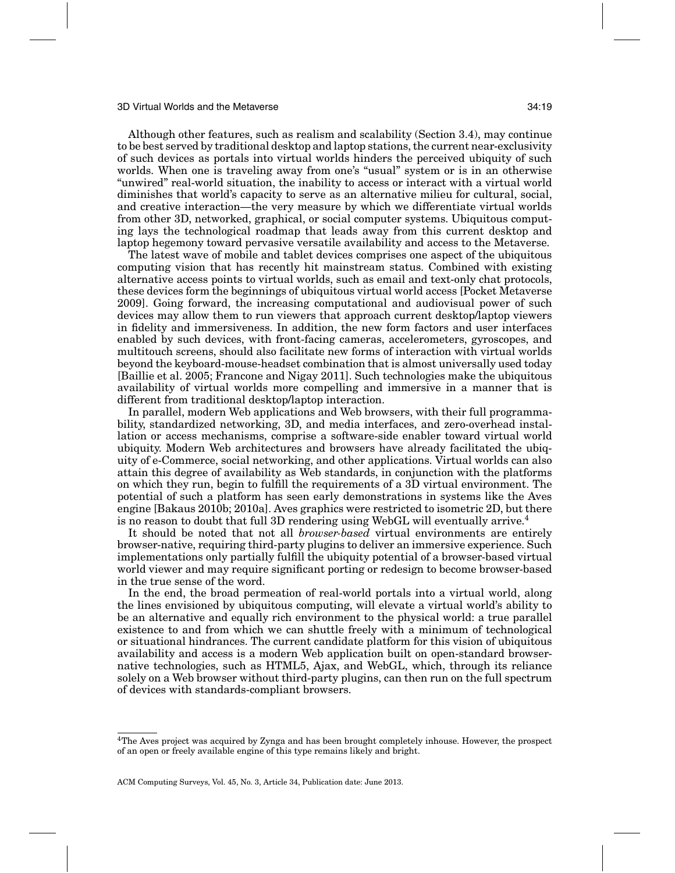Although other features, such as realism and scalability (Section 3.4), may continue to be best served by traditional desktop and laptop stations, the current near-exclusivity of such devices as portals into virtual worlds hinders the perceived ubiquity of such worlds. When one is traveling away from one's "usual" system or is in an otherwise "unwired" real-world situation, the inability to access or interact with a virtual world diminishes that world's capacity to serve as an alternative milieu for cultural, social, and creative interaction—the very measure by which we differentiate virtual worlds from other 3D, networked, graphical, or social computer systems. Ubiquitous computing lays the technological roadmap that leads away from this current desktop and laptop hegemony toward pervasive versatile availability and access to the Metaverse.

The latest wave of mobile and tablet devices comprises one aspect of the ubiquitous computing vision that has recently hit mainstream status. Combined with existing alternative access points to virtual worlds, such as email and text-only chat protocols, these devices form the beginnings of ubiquitous virtual world access [Pocket Metaverse 2009]. Going forward, the increasing computational and audiovisual power of such devices may allow them to run viewers that approach current desktop/laptop viewers in fidelity and immersiveness. In addition, the new form factors and user interfaces enabled by such devices, with front-facing cameras, accelerometers, gyroscopes, and multitouch screens, should also facilitate new forms of interaction with virtual worlds beyond the keyboard-mouse-headset combination that is almost universally used today [Baillie et al. 2005; Francone and Nigay 2011]. Such technologies make the ubiquitous availability of virtual worlds more compelling and immersive in a manner that is different from traditional desktop/laptop interaction.

In parallel, modern Web applications and Web browsers, with their full programmability, standardized networking, 3D, and media interfaces, and zero-overhead installation or access mechanisms, comprise a software-side enabler toward virtual world ubiquity. Modern Web architectures and browsers have already facilitated the ubiquity of e-Commerce, social networking, and other applications. Virtual worlds can also attain this degree of availability as Web standards, in conjunction with the platforms on which they run, begin to fulfill the requirements of a 3D virtual environment. The potential of such a platform has seen early demonstrations in systems like the Aves engine [Bakaus 2010b; 2010a]. Aves graphics were restricted to isometric 2D, but there is no reason to doubt that full 3D rendering using WebGL will eventually arrive.<sup>4</sup>

It should be noted that not all *browser-based* virtual environments are entirely browser-native, requiring third-party plugins to deliver an immersive experience. Such implementations only partially fulfill the ubiquity potential of a browser-based virtual world viewer and may require significant porting or redesign to become browser-based in the true sense of the word.

In the end, the broad permeation of real-world portals into a virtual world, along the lines envisioned by ubiquitous computing, will elevate a virtual world's ability to be an alternative and equally rich environment to the physical world: a true parallel existence to and from which we can shuttle freely with a minimum of technological or situational hindrances. The current candidate platform for this vision of ubiquitous availability and access is a modern Web application built on open-standard browsernative technologies, such as HTML5, Ajax, and WebGL, which, through its reliance solely on a Web browser without third-party plugins, can then run on the full spectrum of devices with standards-compliant browsers.

<sup>&</sup>lt;sup>4</sup>The Aves project was acquired by Zynga and has been brought completely inhouse. However, the prospect of an open or freely available engine of this type remains likely and bright.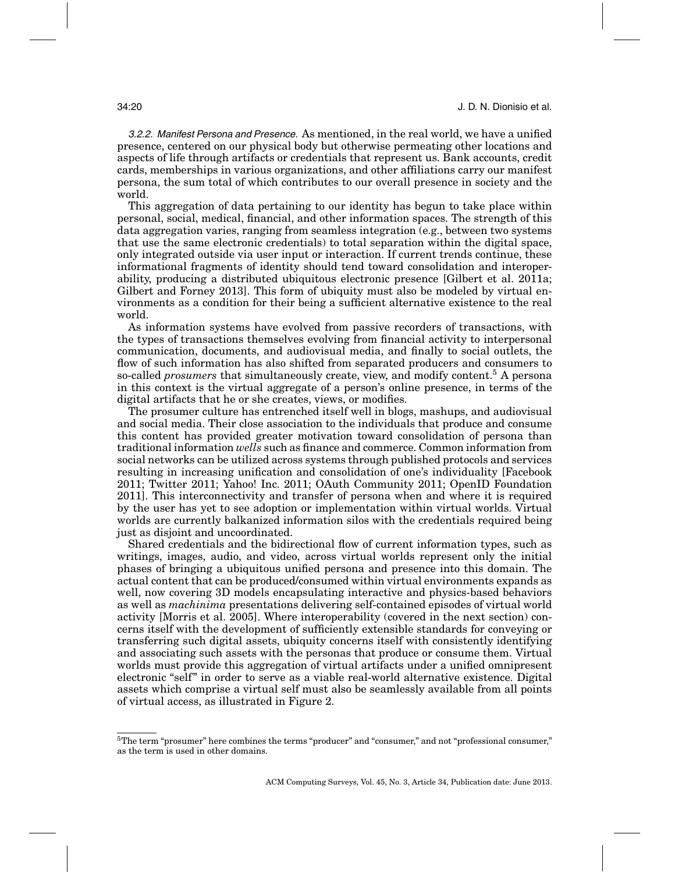3.2.2. Manifest Persona and Presence. As mentioned, in the real world, we have a unified presence, centered on our physical body but otherwise permeating other locations and aspects of life through artifacts or credentials that represent us. Bank accounts, credit cards, memberships in various organizations, and other affiliations carry our manifest persona, the sum total of which contributes to our overall presence in society and the world.

This aggregation of data pertaining to our identity has begun to take place within personal, social, medical, financial, and other information spaces. The strength of this data aggregation varies, ranging from seamless integration (e.g., between two systems that use the same electronic credentials) to total separation within the digital space, only integrated outside via user input or interaction. If current trends continue, these informational fragments of identity should tend toward consolidation and interoperability, producing a distributed ubiquitous electronic presence [Gilbert et al. 2011a; Gilbert and Forney 2013]. This form of ubiquity must also be modeled by virtual environments as a condition for their being a sufficient alternative existence to the real world.

As information systems have evolved from passive recorders of transactions, with the types of transactions themselves evolving from financial activity to interpersonal communication, documents, and audiovisual media, and finally to social outlets, the flow of such information has also shifted from separated producers and consumers to so-called *prosumers* that simultaneously create, view, and modify content.<sup>5</sup> A persona in this context is the virtual aggregate of a person's online presence, in terms of the digital artifacts that he or she creates, views, or modifies.

The prosumer culture has entrenched itself well in blogs, mashups, and audiovisual and social media. Their close association to the individuals that produce and consume this content has provided greater motivation toward consolidation of persona than traditional information *wells* such as finance and commerce. Common information from social networks can be utilized across systems through published protocols and services resulting in increasing unification and consolidation of one's individuality [Facebook 2011; Twitter 2011; Yahoo! Inc. 2011; OAuth Community 2011; OpenID Foundation 2011]. This interconnectivity and transfer of persona when and where it is required by the user has yet to see adoption or implementation within virtual worlds. Virtual worlds are currently balkanized information silos with the credentials required being just as disjoint and uncoordinated.

Shared credentials and the bidirectional flow of current information types, such as writings, images, audio, and video, across virtual worlds represent only the initial phases of bringing a ubiquitous unified persona and presence into this domain. The actual content that can be produced/consumed within virtual environments expands as well, now covering 3D models encapsulating interactive and physics-based behaviors as well as *machinima* presentations delivering self-contained episodes of virtual world activity [Morris et al. 2005]. Where interoperability (covered in the next section) concerns itself with the development of sufficiently extensible standards for conveying or transferring such digital assets, ubiquity concerns itself with consistently identifying and associating such assets with the personas that produce or consume them. Virtual worlds must provide this aggregation of virtual artifacts under a unified omnipresent electronic "self" in order to serve as a viable real-world alternative existence. Digital assets which comprise a virtual self must also be seamlessly available from all points of virtual access, as illustrated in Figure 2.

 $5$ The term "prosumer" here combines the terms "producer" and "consumer," and not "professional consumer," as the term is used in other domains.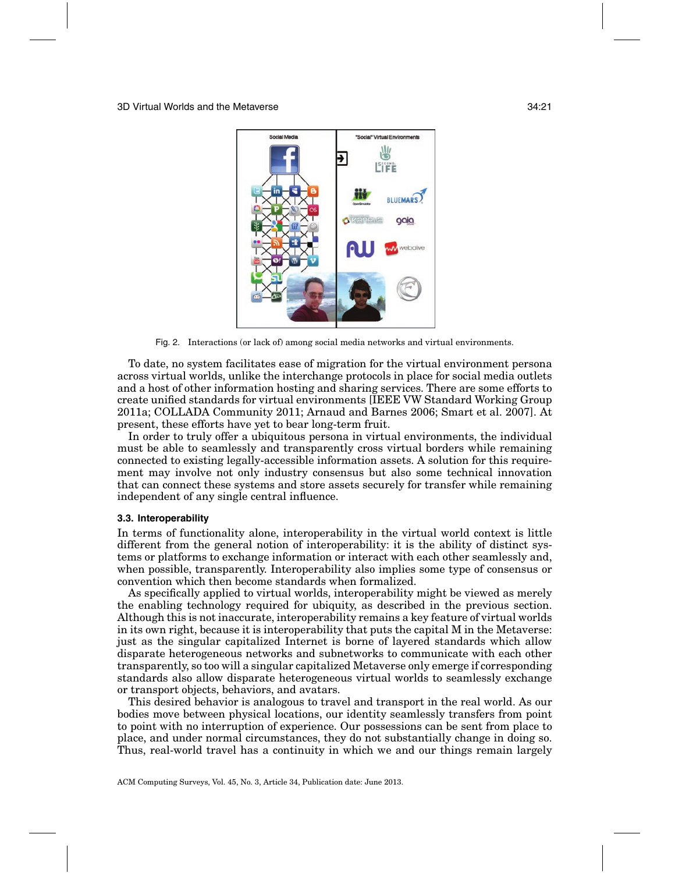

Fig. 2. Interactions (or lack of) among social media networks and virtual environments.

To date, no system facilitates ease of migration for the virtual environment persona across virtual worlds, unlike the interchange protocols in place for social media outlets and a host of other information hosting and sharing services. There are some efforts to create unified standards for virtual environments [IEEE VW Standard Working Group 2011a; COLLADA Community 2011; Arnaud and Barnes 2006; Smart et al. 2007]. At present, these efforts have yet to bear long-term fruit.

In order to truly offer a ubiquitous persona in virtual environments, the individual must be able to seamlessly and transparently cross virtual borders while remaining connected to existing legally-accessible information assets. A solution for this requirement may involve not only industry consensus but also some technical innovation that can connect these systems and store assets securely for transfer while remaining independent of any single central influence.

#### **3.3. Interoperability**

In terms of functionality alone, interoperability in the virtual world context is little different from the general notion of interoperability: it is the ability of distinct systems or platforms to exchange information or interact with each other seamlessly and, when possible, transparently. Interoperability also implies some type of consensus or convention which then become standards when formalized.

As specifically applied to virtual worlds, interoperability might be viewed as merely the enabling technology required for ubiquity, as described in the previous section. Although this is not inaccurate, interoperability remains a key feature of virtual worlds in its own right, because it is interoperability that puts the capital M in the Metaverse: just as the singular capitalized Internet is borne of layered standards which allow disparate heterogeneous networks and subnetworks to communicate with each other transparently, so too will a singular capitalized Metaverse only emerge if corresponding standards also allow disparate heterogeneous virtual worlds to seamlessly exchange or transport objects, behaviors, and avatars.

This desired behavior is analogous to travel and transport in the real world. As our bodies move between physical locations, our identity seamlessly transfers from point to point with no interruption of experience. Our possessions can be sent from place to place, and under normal circumstances, they do not substantially change in doing so. Thus, real-world travel has a continuity in which we and our things remain largely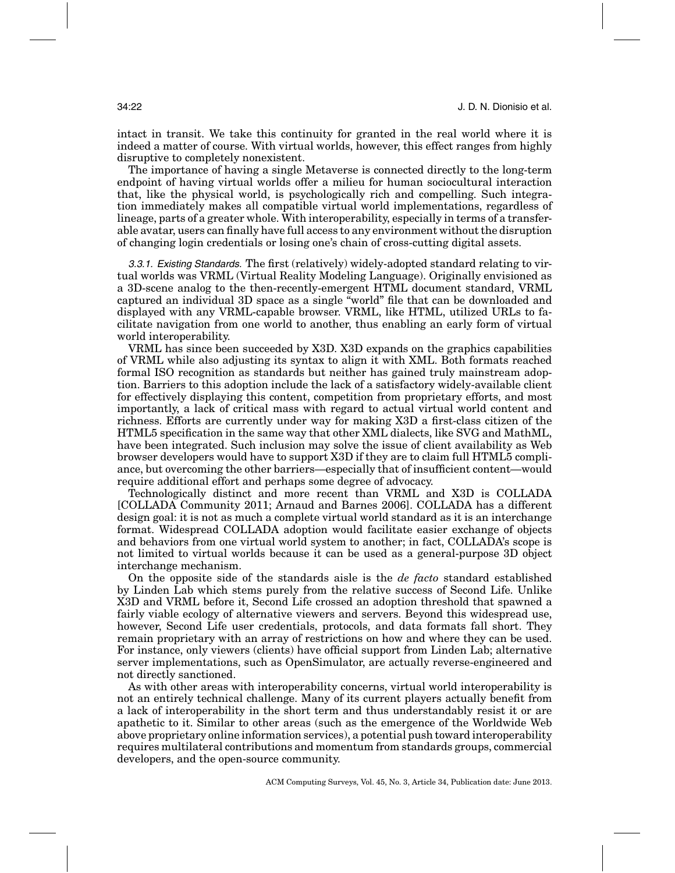intact in transit. We take this continuity for granted in the real world where it is indeed a matter of course. With virtual worlds, however, this effect ranges from highly disruptive to completely nonexistent.

The importance of having a single Metaverse is connected directly to the long-term endpoint of having virtual worlds offer a milieu for human sociocultural interaction that, like the physical world, is psychologically rich and compelling. Such integration immediately makes all compatible virtual world implementations, regardless of lineage, parts of a greater whole. With interoperability, especially in terms of a transferable avatar, users can finally have full access to any environment without the disruption of changing login credentials or losing one's chain of cross-cutting digital assets.

3.3.1. Existing Standards. The first (relatively) widely-adopted standard relating to virtual worlds was VRML (Virtual Reality Modeling Language). Originally envisioned as a 3D-scene analog to the then-recently-emergent HTML document standard, VRML captured an individual 3D space as a single "world" file that can be downloaded and displayed with any VRML-capable browser. VRML, like HTML, utilized URLs to facilitate navigation from one world to another, thus enabling an early form of virtual world interoperability.

VRML has since been succeeded by X3D. X3D expands on the graphics capabilities of VRML while also adjusting its syntax to align it with XML. Both formats reached formal ISO recognition as standards but neither has gained truly mainstream adoption. Barriers to this adoption include the lack of a satisfactory widely-available client for effectively displaying this content, competition from proprietary efforts, and most importantly, a lack of critical mass with regard to actual virtual world content and richness. Efforts are currently under way for making X3D a first-class citizen of the HTML5 specification in the same way that other XML dialects, like SVG and MathML, have been integrated. Such inclusion may solve the issue of client availability as Web browser developers would have to support X3D if they are to claim full HTML5 compliance, but overcoming the other barriers—especially that of insufficient content—would require additional effort and perhaps some degree of advocacy.

Technologically distinct and more recent than VRML and X3D is COLLADA [COLLADA Community 2011; Arnaud and Barnes 2006]. COLLADA has a different design goal: it is not as much a complete virtual world standard as it is an interchange format. Widespread COLLADA adoption would facilitate easier exchange of objects and behaviors from one virtual world system to another; in fact, COLLADA's scope is not limited to virtual worlds because it can be used as a general-purpose 3D object interchange mechanism.

On the opposite side of the standards aisle is the *de facto* standard established by Linden Lab which stems purely from the relative success of Second Life. Unlike X3D and VRML before it, Second Life crossed an adoption threshold that spawned a fairly viable ecology of alternative viewers and servers. Beyond this widespread use, however, Second Life user credentials, protocols, and data formats fall short. They remain proprietary with an array of restrictions on how and where they can be used. For instance, only viewers (clients) have official support from Linden Lab; alternative server implementations, such as OpenSimulator, are actually reverse-engineered and not directly sanctioned.

As with other areas with interoperability concerns, virtual world interoperability is not an entirely technical challenge. Many of its current players actually benefit from a lack of interoperability in the short term and thus understandably resist it or are apathetic to it. Similar to other areas (such as the emergence of the Worldwide Web above proprietary online information services), a potential push toward interoperability requires multilateral contributions and momentum from standards groups, commercial developers, and the open-source community.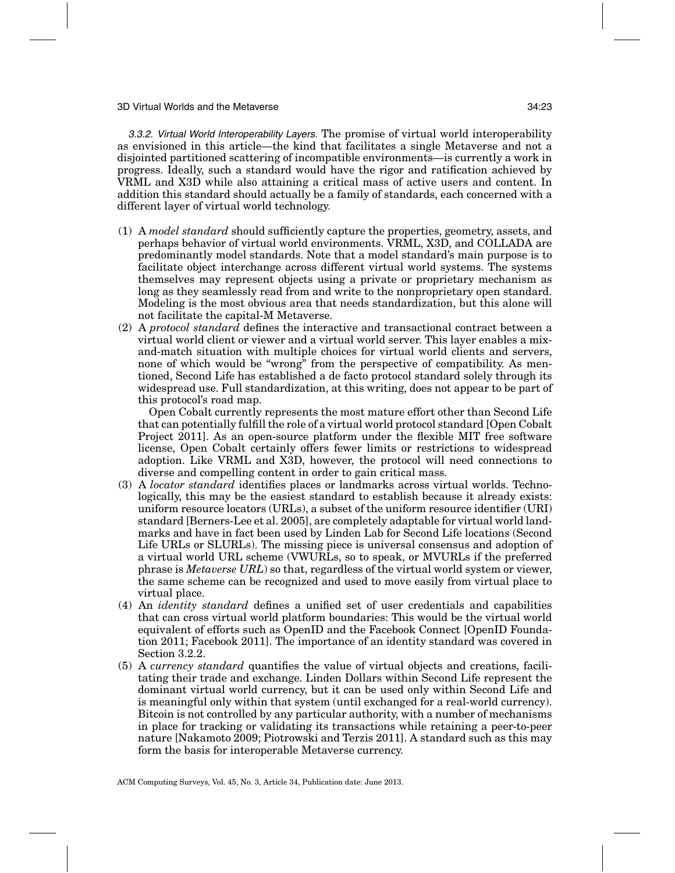3.3.2. Virtual World Interoperability Layers. The promise of virtual world interoperability as envisioned in this article—the kind that facilitates a single Metaverse and not a disjointed partitioned scattering of incompatible environments—is currently a work in progress. Ideally, such a standard would have the rigor and ratification achieved by VRML and X3D while also attaining a critical mass of active users and content. In addition this standard should actually be a family of standards, each concerned with a different layer of virtual world technology.

- (1) A *model standard* should sufficiently capture the properties, geometry, assets, and perhaps behavior of virtual world environments. VRML, X3D, and COLLADA are predominantly model standards. Note that a model standard's main purpose is to facilitate object interchange across different virtual world systems. The systems themselves may represent objects using a private or proprietary mechanism as long as they seamlessly read from and write to the nonproprietary open standard. Modeling is the most obvious area that needs standardization, but this alone will not facilitate the capital-M Metaverse.
- (2) A *protocol standard* defines the interactive and transactional contract between a virtual world client or viewer and a virtual world server. This layer enables a mixand-match situation with multiple choices for virtual world clients and servers, none of which would be "wrong" from the perspective of compatibility. As mentioned, Second Life has established a de facto protocol standard solely through its widespread use. Full standardization, at this writing, does not appear to be part of this protocol's road map.

Open Cobalt currently represents the most mature effort other than Second Life that can potentially fulfill the role of a virtual world protocol standard [Open Cobalt Project 2011]. As an open-source platform under the flexible MIT free software license, Open Cobalt certainly offers fewer limits or restrictions to widespread adoption. Like VRML and X3D, however, the protocol will need connections to diverse and compelling content in order to gain critical mass.

- (3) A *locator standard* identifies places or landmarks across virtual worlds. Technologically, this may be the easiest standard to establish because it already exists: uniform resource locators (URLs), a subset of the uniform resource identifier (URI) standard [Berners-Lee et al. 2005], are completely adaptable for virtual world landmarks and have in fact been used by Linden Lab for Second Life locations (Second Life URLs or SLURLs). The missing piece is universal consensus and adoption of a virtual world URL scheme (VWURLs, so to speak, or MVURLs if the preferred phrase is *Metaverse URL*) so that, regardless of the virtual world system or viewer, the same scheme can be recognized and used to move easily from virtual place to virtual place.
- (4) An *identity standard* defines a unified set of user credentials and capabilities that can cross virtual world platform boundaries: This would be the virtual world equivalent of efforts such as OpenID and the Facebook Connect [OpenID Foundation 2011; Facebook 2011]. The importance of an identity standard was covered in Section 3.2.2.
- (5) A *currency standard* quantifies the value of virtual objects and creations, facilitating their trade and exchange. Linden Dollars within Second Life represent the dominant virtual world currency, but it can be used only within Second Life and is meaningful only within that system (until exchanged for a real-world currency). Bitcoin is not controlled by any particular authority, with a number of mechanisms in place for tracking or validating its transactions while retaining a peer-to-peer nature [Nakamoto 2009; Piotrowski and Terzis 2011]. A standard such as this may form the basis for interoperable Metaverse currency.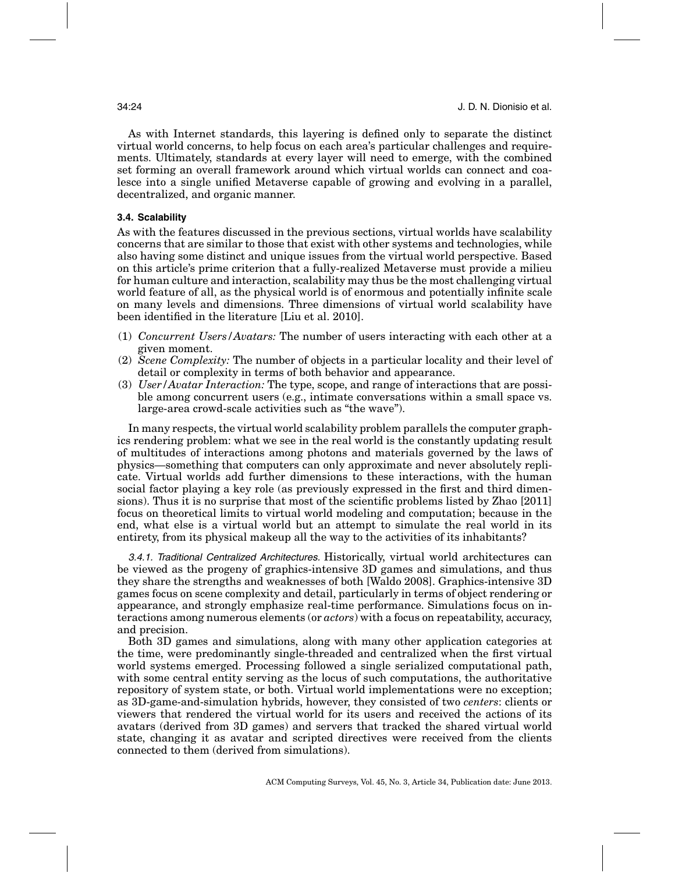As with Internet standards, this layering is defined only to separate the distinct virtual world concerns, to help focus on each area's particular challenges and requirements. Ultimately, standards at every layer will need to emerge, with the combined set forming an overall framework around which virtual worlds can connect and coalesce into a single unified Metaverse capable of growing and evolving in a parallel, decentralized, and organic manner.

#### **3.4. Scalability**

As with the features discussed in the previous sections, virtual worlds have scalability concerns that are similar to those that exist with other systems and technologies, while also having some distinct and unique issues from the virtual world perspective. Based on this article's prime criterion that a fully-realized Metaverse must provide a milieu for human culture and interaction, scalability may thus be the most challenging virtual world feature of all, as the physical world is of enormous and potentially infinite scale on many levels and dimensions. Three dimensions of virtual world scalability have been identified in the literature [Liu et al. 2010].

- (1) *Concurrent Users/Avatars:* The number of users interacting with each other at a given moment.
- (2) *Scene Complexity:* The number of objects in a particular locality and their level of detail or complexity in terms of both behavior and appearance.
- (3) *User/Avatar Interaction:* The type, scope, and range of interactions that are possible among concurrent users (e.g., intimate conversations within a small space vs. large-area crowd-scale activities such as "the wave").

In many respects, the virtual world scalability problem parallels the computer graphics rendering problem: what we see in the real world is the constantly updating result of multitudes of interactions among photons and materials governed by the laws of physics—something that computers can only approximate and never absolutely replicate. Virtual worlds add further dimensions to these interactions, with the human social factor playing a key role (as previously expressed in the first and third dimensions). Thus it is no surprise that most of the scientific problems listed by Zhao [2011] focus on theoretical limits to virtual world modeling and computation; because in the end, what else is a virtual world but an attempt to simulate the real world in its entirety, from its physical makeup all the way to the activities of its inhabitants?

3.4.1. Traditional Centralized Architectures. Historically, virtual world architectures can be viewed as the progeny of graphics-intensive 3D games and simulations, and thus they share the strengths and weaknesses of both [Waldo 2008]. Graphics-intensive 3D games focus on scene complexity and detail, particularly in terms of object rendering or appearance, and strongly emphasize real-time performance. Simulations focus on interactions among numerous elements (or *actors*) with a focus on repeatability, accuracy, and precision.

Both 3D games and simulations, along with many other application categories at the time, were predominantly single-threaded and centralized when the first virtual world systems emerged. Processing followed a single serialized computational path, with some central entity serving as the locus of such computations, the authoritative repository of system state, or both. Virtual world implementations were no exception; as 3D-game-and-simulation hybrids, however, they consisted of two *centers*: clients or viewers that rendered the virtual world for its users and received the actions of its avatars (derived from 3D games) and servers that tracked the shared virtual world state, changing it as avatar and scripted directives were received from the clients connected to them (derived from simulations).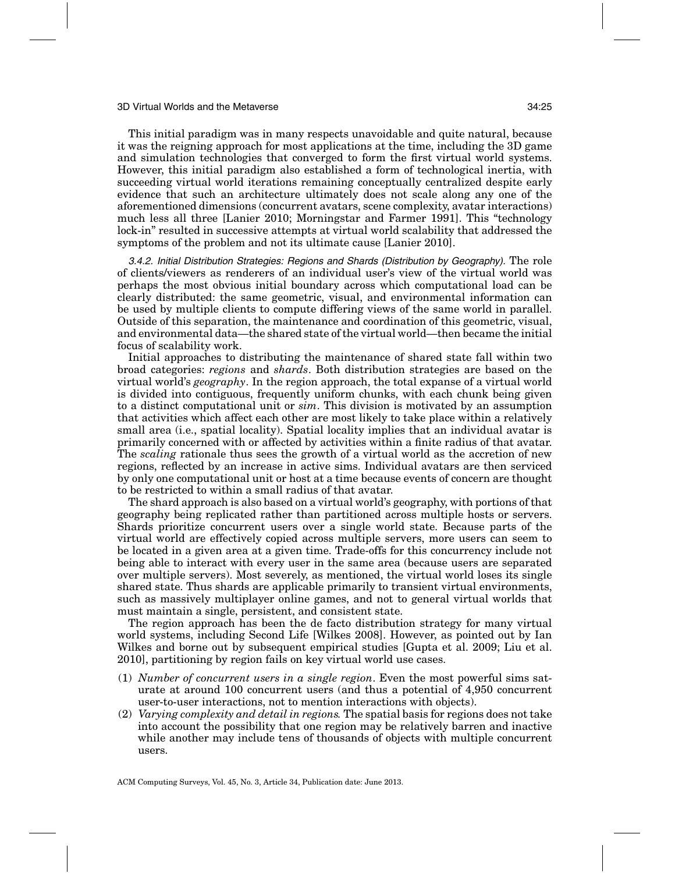This initial paradigm was in many respects unavoidable and quite natural, because it was the reigning approach for most applications at the time, including the 3D game and simulation technologies that converged to form the first virtual world systems. However, this initial paradigm also established a form of technological inertia, with succeeding virtual world iterations remaining conceptually centralized despite early evidence that such an architecture ultimately does not scale along any one of the aforementioned dimensions (concurrent avatars, scene complexity, avatar interactions) much less all three [Lanier 2010; Morningstar and Farmer 1991]. This "technology lock-in" resulted in successive attempts at virtual world scalability that addressed the symptoms of the problem and not its ultimate cause [Lanier 2010].

3.4.2. Initial Distribution Strategies: Regions and Shards (Distribution by Geography). The role of clients/viewers as renderers of an individual user's view of the virtual world was perhaps the most obvious initial boundary across which computational load can be clearly distributed: the same geometric, visual, and environmental information can be used by multiple clients to compute differing views of the same world in parallel. Outside of this separation, the maintenance and coordination of this geometric, visual, and environmental data—the shared state of the virtual world—then became the initial focus of scalability work.

Initial approaches to distributing the maintenance of shared state fall within two broad categories: *regions* and *shards*. Both distribution strategies are based on the virtual world's *geography*. In the region approach, the total expanse of a virtual world is divided into contiguous, frequently uniform chunks, with each chunk being given to a distinct computational unit or *sim*. This division is motivated by an assumption that activities which affect each other are most likely to take place within a relatively small area (i.e., spatial locality). Spatial locality implies that an individual avatar is primarily concerned with or affected by activities within a finite radius of that avatar. The *scaling* rationale thus sees the growth of a virtual world as the accretion of new regions, reflected by an increase in active sims. Individual avatars are then serviced by only one computational unit or host at a time because events of concern are thought to be restricted to within a small radius of that avatar.

The shard approach is also based on a virtual world's geography, with portions of that geography being replicated rather than partitioned across multiple hosts or servers. Shards prioritize concurrent users over a single world state. Because parts of the virtual world are effectively copied across multiple servers, more users can seem to be located in a given area at a given time. Trade-offs for this concurrency include not being able to interact with every user in the same area (because users are separated over multiple servers). Most severely, as mentioned, the virtual world loses its single shared state. Thus shards are applicable primarily to transient virtual environments, such as massively multiplayer online games, and not to general virtual worlds that must maintain a single, persistent, and consistent state.

The region approach has been the de facto distribution strategy for many virtual world systems, including Second Life [Wilkes 2008]. However, as pointed out by Ian Wilkes and borne out by subsequent empirical studies [Gupta et al. 2009; Liu et al. 2010], partitioning by region fails on key virtual world use cases.

- (1) *Number of concurrent users in a single region*. Even the most powerful sims saturate at around 100 concurrent users (and thus a potential of 4,950 concurrent user-to-user interactions, not to mention interactions with objects).
- (2) *Varying complexity and detail in regions.* The spatial basis for regions does not take into account the possibility that one region may be relatively barren and inactive while another may include tens of thousands of objects with multiple concurrent users.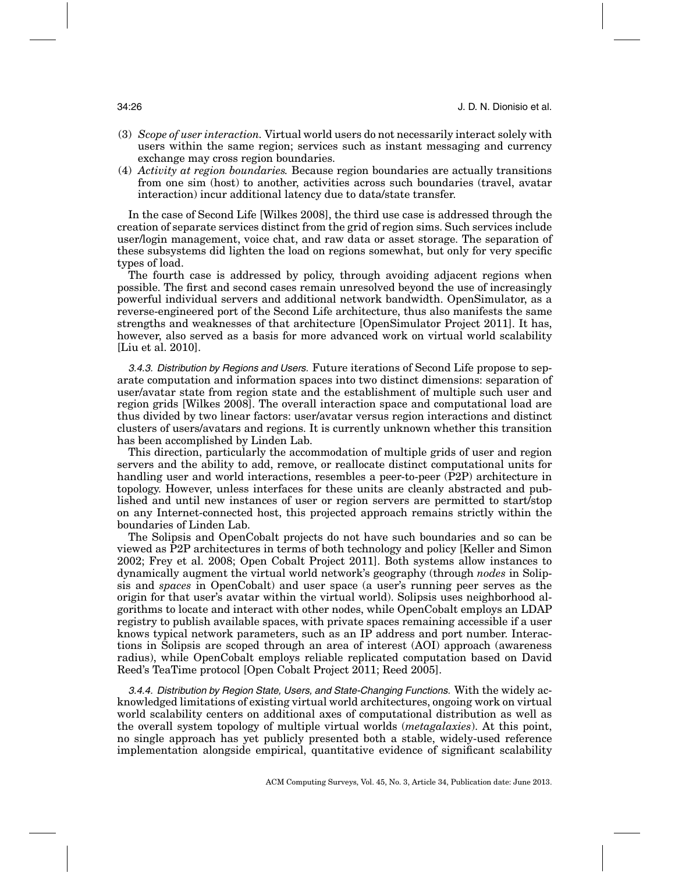- (3) *Scope of user interaction.* Virtual world users do not necessarily interact solely with users within the same region; services such as instant messaging and currency exchange may cross region boundaries.
- (4) *Activity at region boundaries.* Because region boundaries are actually transitions from one sim (host) to another, activities across such boundaries (travel, avatar interaction) incur additional latency due to data/state transfer.

In the case of Second Life [Wilkes 2008], the third use case is addressed through the creation of separate services distinct from the grid of region sims. Such services include user/login management, voice chat, and raw data or asset storage. The separation of these subsystems did lighten the load on regions somewhat, but only for very specific types of load.

The fourth case is addressed by policy, through avoiding adjacent regions when possible. The first and second cases remain unresolved beyond the use of increasingly powerful individual servers and additional network bandwidth. OpenSimulator, as a reverse-engineered port of the Second Life architecture, thus also manifests the same strengths and weaknesses of that architecture [OpenSimulator Project 2011]. It has, however, also served as a basis for more advanced work on virtual world scalability [Liu et al. 2010].

3.4.3. Distribution by Regions and Users. Future iterations of Second Life propose to separate computation and information spaces into two distinct dimensions: separation of user/avatar state from region state and the establishment of multiple such user and region grids [Wilkes 2008]. The overall interaction space and computational load are thus divided by two linear factors: user/avatar versus region interactions and distinct clusters of users/avatars and regions. It is currently unknown whether this transition has been accomplished by Linden Lab.

This direction, particularly the accommodation of multiple grids of user and region servers and the ability to add, remove, or reallocate distinct computational units for handling user and world interactions, resembles a peer-to-peer (P2P) architecture in topology. However, unless interfaces for these units are cleanly abstracted and published and until new instances of user or region servers are permitted to start/stop on any Internet-connected host, this projected approach remains strictly within the boundaries of Linden Lab.

The Solipsis and OpenCobalt projects do not have such boundaries and so can be viewed as P2P architectures in terms of both technology and policy [Keller and Simon 2002; Frey et al. 2008; Open Cobalt Project 2011]. Both systems allow instances to dynamically augment the virtual world network's geography (through *nodes* in Solipsis and *spaces* in OpenCobalt) and user space (a user's running peer serves as the origin for that user's avatar within the virtual world). Solipsis uses neighborhood algorithms to locate and interact with other nodes, while OpenCobalt employs an LDAP registry to publish available spaces, with private spaces remaining accessible if a user knows typical network parameters, such as an IP address and port number. Interactions in Solipsis are scoped through an area of interest (AOI) approach (awareness radius), while OpenCobalt employs reliable replicated computation based on David Reed's TeaTime protocol [Open Cobalt Project 2011; Reed 2005].

3.4.4. Distribution by Region State, Users, and State-Changing Functions. With the widely acknowledged limitations of existing virtual world architectures, ongoing work on virtual world scalability centers on additional axes of computational distribution as well as the overall system topology of multiple virtual worlds (*metagalaxies*). At this point, no single approach has yet publicly presented both a stable, widely-used reference implementation alongside empirical, quantitative evidence of significant scalability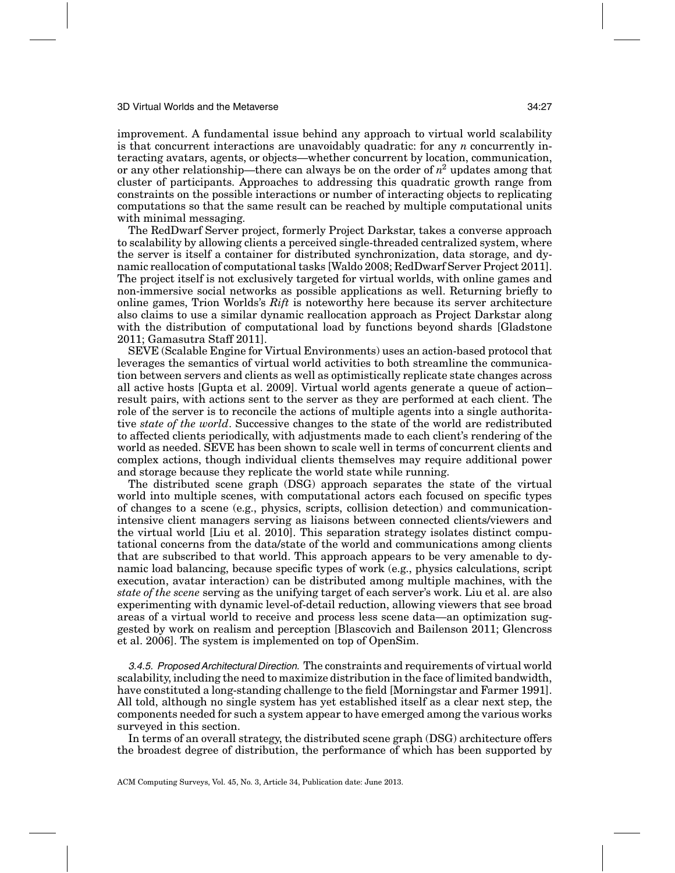improvement. A fundamental issue behind any approach to virtual world scalability is that concurrent interactions are unavoidably quadratic: for any *n* concurrently interacting avatars, agents, or objects—whether concurrent by location, communication, or any other relationship—there can always be on the order of  $n^2$  updates among that cluster of participants. Approaches to addressing this quadratic growth range from constraints on the possible interactions or number of interacting objects to replicating computations so that the same result can be reached by multiple computational units with minimal messaging.

The RedDwarf Server project, formerly Project Darkstar, takes a converse approach to scalability by allowing clients a perceived single-threaded centralized system, where the server is itself a container for distributed synchronization, data storage, and dynamic reallocation of computational tasks [Waldo 2008; RedDwarf Server Project 2011]. The project itself is not exclusively targeted for virtual worlds, with online games and non-immersive social networks as possible applications as well. Returning briefly to online games, Trion Worlds's *Rift* is noteworthy here because its server architecture also claims to use a similar dynamic reallocation approach as Project Darkstar along with the distribution of computational load by functions beyond shards [Gladstone 2011; Gamasutra Staff 2011].

SEVE (Scalable Engine for Virtual Environments) uses an action-based protocol that leverages the semantics of virtual world activities to both streamline the communication between servers and clients as well as optimistically replicate state changes across all active hosts [Gupta et al. 2009]. Virtual world agents generate a queue of action– result pairs, with actions sent to the server as they are performed at each client. The role of the server is to reconcile the actions of multiple agents into a single authoritative *state of the world*. Successive changes to the state of the world are redistributed to affected clients periodically, with adjustments made to each client's rendering of the world as needed. SEVE has been shown to scale well in terms of concurrent clients and complex actions, though individual clients themselves may require additional power and storage because they replicate the world state while running.

The distributed scene graph (DSG) approach separates the state of the virtual world into multiple scenes, with computational actors each focused on specific types of changes to a scene (e.g., physics, scripts, collision detection) and communicationintensive client managers serving as liaisons between connected clients/viewers and the virtual world [Liu et al. 2010]. This separation strategy isolates distinct computational concerns from the data/state of the world and communications among clients that are subscribed to that world. This approach appears to be very amenable to dynamic load balancing, because specific types of work (e.g., physics calculations, script execution, avatar interaction) can be distributed among multiple machines, with the *state of the scene* serving as the unifying target of each server's work. Liu et al. are also experimenting with dynamic level-of-detail reduction, allowing viewers that see broad areas of a virtual world to receive and process less scene data—an optimization suggested by work on realism and perception [Blascovich and Bailenson 2011; Glencross et al. 2006]. The system is implemented on top of OpenSim.

3.4.5. Proposed Architectural Direction. The constraints and requirements of virtual world scalability, including the need to maximize distribution in the face of limited bandwidth, have constituted a long-standing challenge to the field [Morningstar and Farmer 1991]. All told, although no single system has yet established itself as a clear next step, the components needed for such a system appear to have emerged among the various works surveyed in this section.

In terms of an overall strategy, the distributed scene graph (DSG) architecture offers the broadest degree of distribution, the performance of which has been supported by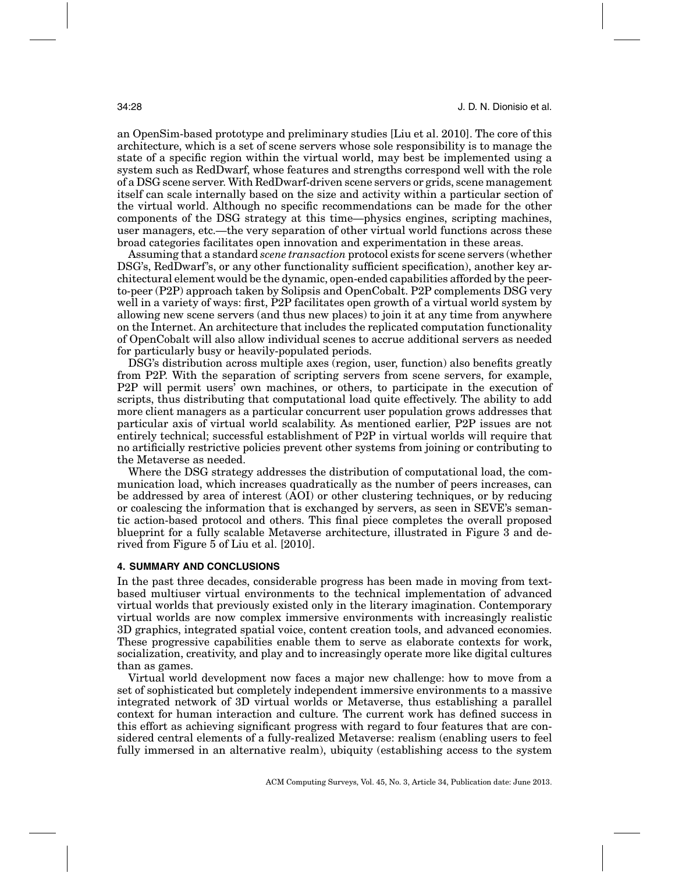an OpenSim-based prototype and preliminary studies [Liu et al. 2010]. The core of this architecture, which is a set of scene servers whose sole responsibility is to manage the state of a specific region within the virtual world, may best be implemented using a system such as RedDwarf, whose features and strengths correspond well with the role of a DSG scene server. With RedDwarf-driven scene servers or grids, scene management itself can scale internally based on the size and activity within a particular section of the virtual world. Although no specific recommendations can be made for the other components of the DSG strategy at this time—physics engines, scripting machines, user managers, etc.—the very separation of other virtual world functions across these broad categories facilitates open innovation and experimentation in these areas.

Assuming that a standard *scene transaction* protocol exists for scene servers (whether DSG's, RedDwarf's, or any other functionality sufficient specification), another key architectural element would be the dynamic, open-ended capabilities afforded by the peerto-peer (P2P) approach taken by Solipsis and OpenCobalt. P2P complements DSG very well in a variety of ways: first, P2P facilitates open growth of a virtual world system by allowing new scene servers (and thus new places) to join it at any time from anywhere on the Internet. An architecture that includes the replicated computation functionality of OpenCobalt will also allow individual scenes to accrue additional servers as needed for particularly busy or heavily-populated periods.

DSG's distribution across multiple axes (region, user, function) also benefits greatly from P2P. With the separation of scripting servers from scene servers, for example, P2P will permit users' own machines, or others, to participate in the execution of scripts, thus distributing that computational load quite effectively. The ability to add more client managers as a particular concurrent user population grows addresses that particular axis of virtual world scalability. As mentioned earlier, P2P issues are not entirely technical; successful establishment of P2P in virtual worlds will require that no artificially restrictive policies prevent other systems from joining or contributing to the Metaverse as needed.

Where the DSG strategy addresses the distribution of computational load, the communication load, which increases quadratically as the number of peers increases, can be addressed by area of interest (AOI) or other clustering techniques, or by reducing or coalescing the information that is exchanged by servers, as seen in SEVE's semantic action-based protocol and others. This final piece completes the overall proposed blueprint for a fully scalable Metaverse architecture, illustrated in Figure 3 and derived from Figure 5 of Liu et al. [2010].

#### **4. SUMMARY AND CONCLUSIONS**

In the past three decades, considerable progress has been made in moving from textbased multiuser virtual environments to the technical implementation of advanced virtual worlds that previously existed only in the literary imagination. Contemporary virtual worlds are now complex immersive environments with increasingly realistic 3D graphics, integrated spatial voice, content creation tools, and advanced economies. These progressive capabilities enable them to serve as elaborate contexts for work, socialization, creativity, and play and to increasingly operate more like digital cultures than as games.

Virtual world development now faces a major new challenge: how to move from a set of sophisticated but completely independent immersive environments to a massive integrated network of 3D virtual worlds or Metaverse, thus establishing a parallel context for human interaction and culture. The current work has defined success in this effort as achieving significant progress with regard to four features that are considered central elements of a fully-realized Metaverse: realism (enabling users to feel fully immersed in an alternative realm), ubiquity (establishing access to the system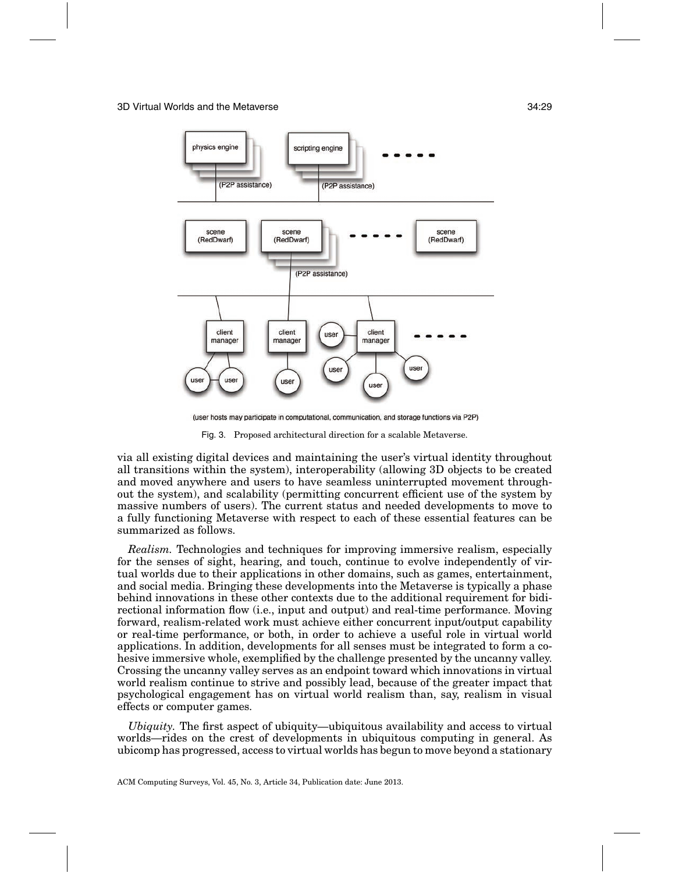

(user hosts may participate in computational, communication, and storage functions via P2P)

Fig. 3. Proposed architectural direction for a scalable Metaverse.

via all existing digital devices and maintaining the user's virtual identity throughout all transitions within the system), interoperability (allowing 3D objects to be created and moved anywhere and users to have seamless uninterrupted movement throughout the system), and scalability (permitting concurrent efficient use of the system by massive numbers of users). The current status and needed developments to move to a fully functioning Metaverse with respect to each of these essential features can be summarized as follows.

*Realism.* Technologies and techniques for improving immersive realism, especially for the senses of sight, hearing, and touch, continue to evolve independently of virtual worlds due to their applications in other domains, such as games, entertainment, and social media. Bringing these developments into the Metaverse is typically a phase behind innovations in these other contexts due to the additional requirement for bidirectional information flow (i.e., input and output) and real-time performance. Moving forward, realism-related work must achieve either concurrent input/output capability or real-time performance, or both, in order to achieve a useful role in virtual world applications. In addition, developments for all senses must be integrated to form a cohesive immersive whole, exemplified by the challenge presented by the uncanny valley. Crossing the uncanny valley serves as an endpoint toward which innovations in virtual world realism continue to strive and possibly lead, because of the greater impact that psychological engagement has on virtual world realism than, say, realism in visual effects or computer games.

*Ubiquity.* The first aspect of ubiquity—ubiquitous availability and access to virtual worlds—rides on the crest of developments in ubiquitous computing in general. As ubicomp has progressed, access to virtual worlds has begun to move beyond a stationary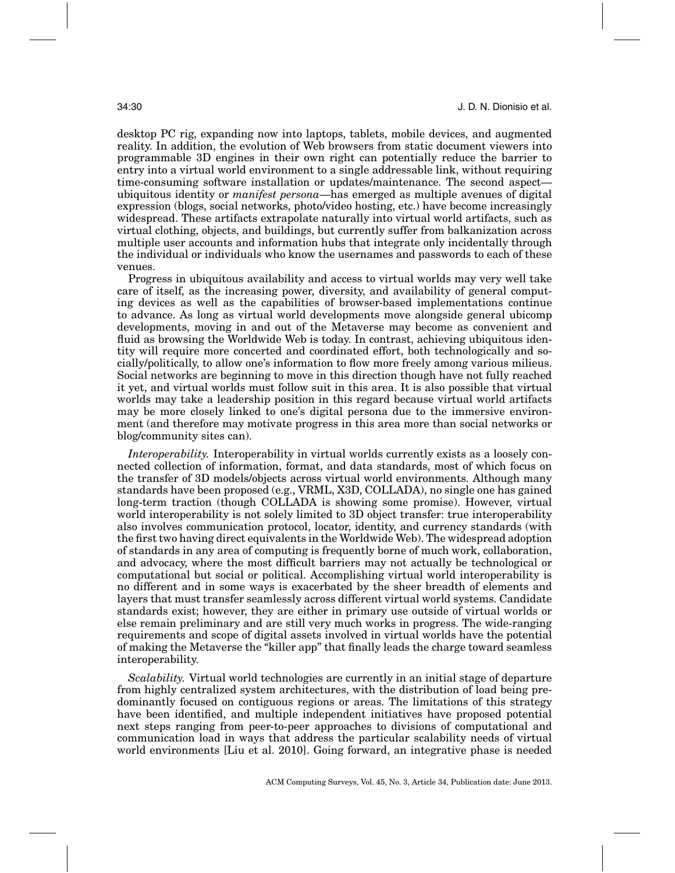desktop PC rig, expanding now into laptops, tablets, mobile devices, and augmented reality. In addition, the evolution of Web browsers from static document viewers into programmable 3D engines in their own right can potentially reduce the barrier to entry into a virtual world environment to a single addressable link, without requiring time-consuming software installation or updates/maintenance. The second aspect ubiquitous identity or *manifest persona*—has emerged as multiple avenues of digital expression (blogs, social networks, photo/video hosting, etc.) have become increasingly widespread. These artifacts extrapolate naturally into virtual world artifacts, such as virtual clothing, objects, and buildings, but currently suffer from balkanization across multiple user accounts and information hubs that integrate only incidentally through the individual or individuals who know the usernames and passwords to each of these venues.

Progress in ubiquitous availability and access to virtual worlds may very well take care of itself, as the increasing power, diversity, and availability of general computing devices as well as the capabilities of browser-based implementations continue to advance. As long as virtual world developments move alongside general ubicomp developments, moving in and out of the Metaverse may become as convenient and fluid as browsing the Worldwide Web is today. In contrast, achieving ubiquitous identity will require more concerted and coordinated effort, both technologically and socially/politically, to allow one's information to flow more freely among various milieus. Social networks are beginning to move in this direction though have not fully reached it yet, and virtual worlds must follow suit in this area. It is also possible that virtual worlds may take a leadership position in this regard because virtual world artifacts may be more closely linked to one's digital persona due to the immersive environment (and therefore may motivate progress in this area more than social networks or blog/community sites can).

*Interoperability.* Interoperability in virtual worlds currently exists as a loosely connected collection of information, format, and data standards, most of which focus on the transfer of 3D models/objects across virtual world environments. Although many standards have been proposed (e.g., VRML, X3D, COLLADA), no single one has gained long-term traction (though COLLADA is showing some promise). However, virtual world interoperability is not solely limited to 3D object transfer: true interoperability also involves communication protocol, locator, identity, and currency standards (with the first two having direct equivalents in the Worldwide Web). The widespread adoption of standards in any area of computing is frequently borne of much work, collaboration, and advocacy, where the most difficult barriers may not actually be technological or computational but social or political. Accomplishing virtual world interoperability is no different and in some ways is exacerbated by the sheer breadth of elements and layers that must transfer seamlessly across different virtual world systems. Candidate standards exist; however, they are either in primary use outside of virtual worlds or else remain preliminary and are still very much works in progress. The wide-ranging requirements and scope of digital assets involved in virtual worlds have the potential of making the Metaverse the "killer app" that finally leads the charge toward seamless interoperability.

*Scalability.* Virtual world technologies are currently in an initial stage of departure from highly centralized system architectures, with the distribution of load being predominantly focused on contiguous regions or areas. The limitations of this strategy have been identified, and multiple independent initiatives have proposed potential next steps ranging from peer-to-peer approaches to divisions of computational and communication load in ways that address the particular scalability needs of virtual world environments [Liu et al. 2010]. Going forward, an integrative phase is needed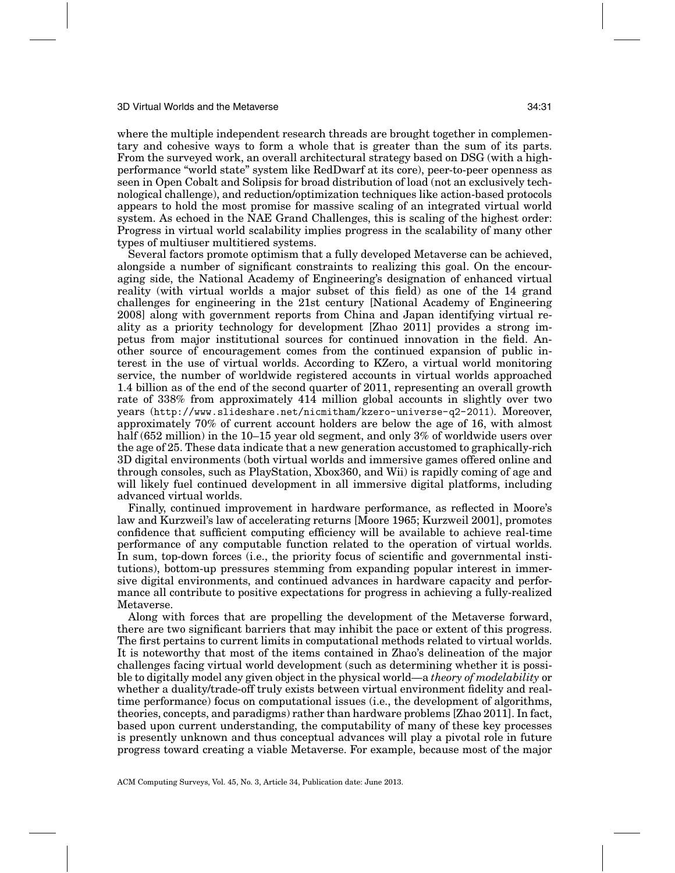where the multiple independent research threads are brought together in complementary and cohesive ways to form a whole that is greater than the sum of its parts. From the surveyed work, an overall architectural strategy based on DSG (with a highperformance "world state" system like RedDwarf at its core), peer-to-peer openness as seen in Open Cobalt and Solipsis for broad distribution of load (not an exclusively technological challenge), and reduction/optimization techniques like action-based protocols appears to hold the most promise for massive scaling of an integrated virtual world system. As echoed in the NAE Grand Challenges, this is scaling of the highest order: Progress in virtual world scalability implies progress in the scalability of many other types of multiuser multitiered systems.

Several factors promote optimism that a fully developed Metaverse can be achieved, alongside a number of significant constraints to realizing this goal. On the encouraging side, the National Academy of Engineering's designation of enhanced virtual reality (with virtual worlds a major subset of this field) as one of the 14 grand challenges for engineering in the 21st century [National Academy of Engineering 2008] along with government reports from China and Japan identifying virtual reality as a priority technology for development [Zhao 2011] provides a strong impetus from major institutional sources for continued innovation in the field. Another source of encouragement comes from the continued expansion of public interest in the use of virtual worlds. According to KZero, a virtual world monitoring service, the number of worldwide registered accounts in virtual worlds approached 1.4 billion as of the end of the second quarter of 2011, representing an overall growth rate of 338% from approximately 414 million global accounts in slightly over two years (http://www.slideshare.net/nicmitham/kzero-universe-q2-2011). Moreover, approximately 70% of current account holders are below the age of 16, with almost half (652 million) in the 10–15 year old segment, and only 3% of worldwide users over the age of 25. These data indicate that a new generation accustomed to graphically-rich 3D digital environments (both virtual worlds and immersive games offered online and through consoles, such as PlayStation, Xbox360, and Wii) is rapidly coming of age and will likely fuel continued development in all immersive digital platforms, including advanced virtual worlds.

Finally, continued improvement in hardware performance, as reflected in Moore's law and Kurzweil's law of accelerating returns [Moore 1965; Kurzweil 2001], promotes confidence that sufficient computing efficiency will be available to achieve real-time performance of any computable function related to the operation of virtual worlds. In sum, top-down forces (i.e., the priority focus of scientific and governmental institutions), bottom-up pressures stemming from expanding popular interest in immersive digital environments, and continued advances in hardware capacity and performance all contribute to positive expectations for progress in achieving a fully-realized Metaverse.

Along with forces that are propelling the development of the Metaverse forward, there are two significant barriers that may inhibit the pace or extent of this progress. The first pertains to current limits in computational methods related to virtual worlds. It is noteworthy that most of the items contained in Zhao's delineation of the major challenges facing virtual world development (such as determining whether it is possible to digitally model any given object in the physical world—a *theory of modelability* or whether a duality/trade-off truly exists between virtual environment fidelity and realtime performance) focus on computational issues (i.e., the development of algorithms, theories, concepts, and paradigms) rather than hardware problems [Zhao 2011]. In fact, based upon current understanding, the computability of many of these key processes is presently unknown and thus conceptual advances will play a pivotal role in future progress toward creating a viable Metaverse. For example, because most of the major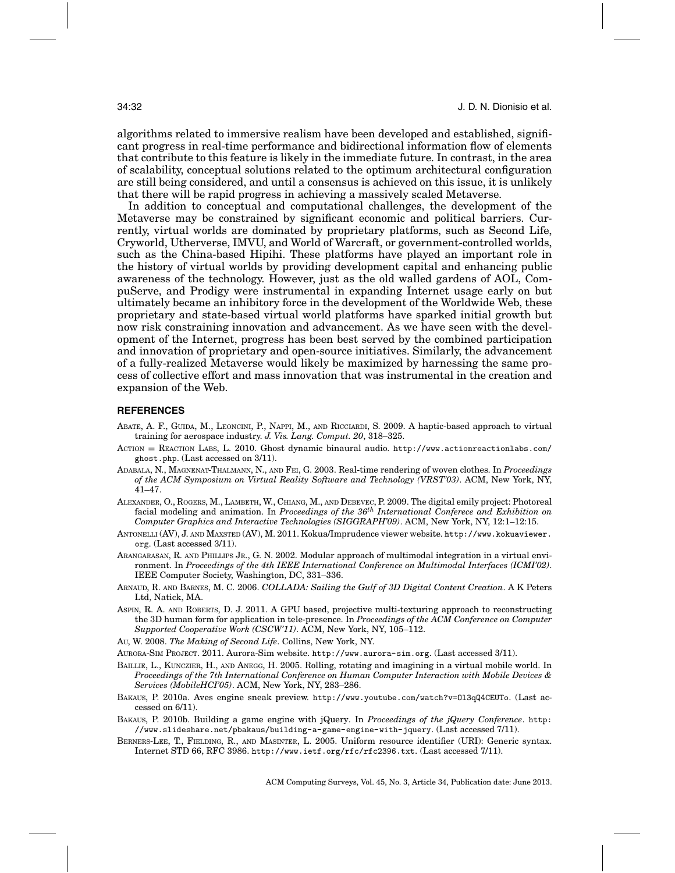algorithms related to immersive realism have been developed and established, significant progress in real-time performance and bidirectional information flow of elements that contribute to this feature is likely in the immediate future. In contrast, in the area of scalability, conceptual solutions related to the optimum architectural configuration are still being considered, and until a consensus is achieved on this issue, it is unlikely that there will be rapid progress in achieving a massively scaled Metaverse.

In addition to conceptual and computational challenges, the development of the Metaverse may be constrained by significant economic and political barriers. Currently, virtual worlds are dominated by proprietary platforms, such as Second Life, Cryworld, Utherverse, IMVU, and World of Warcraft, or government-controlled worlds, such as the China-based Hipihi. These platforms have played an important role in the history of virtual worlds by providing development capital and enhancing public awareness of the technology. However, just as the old walled gardens of AOL, CompuServe, and Prodigy were instrumental in expanding Internet usage early on but ultimately became an inhibitory force in the development of the Worldwide Web, these proprietary and state-based virtual world platforms have sparked initial growth but now risk constraining innovation and advancement. As we have seen with the development of the Internet, progress has been best served by the combined participation and innovation of proprietary and open-source initiatives. Similarly, the advancement of a fully-realized Metaverse would likely be maximized by harnessing the same process of collective effort and mass innovation that was instrumental in the creation and expansion of the Web.

#### **REFERENCES**

- ABATE, A. F., GUIDA, M., LEONCINI, P., NAPPI, M., AND RICCIARDI, S. 2009. A haptic-based approach to virtual training for aerospace industry. *J. Vis. Lang. Comput. 20*, 318–325.
- ACTION = REACTION LABS, L. 2010. Ghost dynamic binaural audio. http://www.actionreactionlabs.com/ ghost.php. (Last accessed on 3/11).
- ADABALA, N., MAGNENAT-THALMANN, N., AND FEI, G. 2003. Real-time rendering of woven clothes. In *Proceedings of the ACM Symposium on Virtual Reality Software and Technology (VRST'03)*. ACM, New York, NY, 41–47.
- ALEXANDER, O., ROGERS, M., LAMBETH, W., CHIANG, M., AND DEBEVEC, P. 2009. The digital emily project: Photoreal facial modeling and animation. In *Proceedings of the 36th International Conferece and Exhibition on Computer Graphics and Interactive Technologies (SIGGRAPH'09)*. ACM, New York, NY, 12:1–12:15.
- ANTONELLI (AV), J. AND MAXSTED (AV), M. 2011. Kokua/Imprudence viewer website. http://www.kokuaviewer. org. (Last accessed 3/11).
- ARANGARASAN, R. AND PHILLIPS JR., G. N. 2002. Modular approach of multimodal integration in a virtual environment. In *Proceedings of the 4th IEEE International Conference on Multimodal Interfaces (ICMI'02)*. IEEE Computer Society, Washington, DC, 331–336.
- ARNAUD, R. AND BARNES, M. C. 2006. *COLLADA: Sailing the Gulf of 3D Digital Content Creation*. A K Peters Ltd, Natick, MA.
- ASPIN, R. A. AND ROBERTS, D. J. 2011. A GPU based, projective multi-texturing approach to reconstructing the 3D human form for application in tele-presence. In *Proceedings of the ACM Conference on Computer Supported Cooperative Work (CSCW'11)*. ACM, New York, NY, 105–112.
- AU, W. 2008. *The Making of Second Life*. Collins, New York, NY.
- AURORA-SIM PROJECT. 2011. Aurora-Sim website. http://www.aurora-sim.org. (Last accessed 3/11).
- BAILLIE, L., KUNCZIER, H., AND ANEGG, H. 2005. Rolling, rotating and imagining in a virtual mobile world. In *Proceedings of the 7th International Conference on Human Computer Interaction with Mobile Devices & Services (MobileHCI'05)*. ACM, New York, NY, 283–286.
- BAKAUS, P. 2010a. Aves engine sneak preview. http://www.youtube.com/watch?v=Ol3qQ4CEUTo. (Last accessed on 6/11).
- BAKAUS, P. 2010b. Building a game engine with jQuery. In *Proceedings of the jQuery Conference*. http: //www.slideshare.net/pbakaus/building-a-game-engine-with-jquery. (Last accessed 7/11).
- BERNERS-LEE, T., FIELDING, R., AND MASINTER, L. 2005. Uniform resource identifier (URI): Generic syntax. Internet STD 66, RFC 3986. http://www.ietf.org/rfc/rfc2396.txt. (Last accessed 7/11).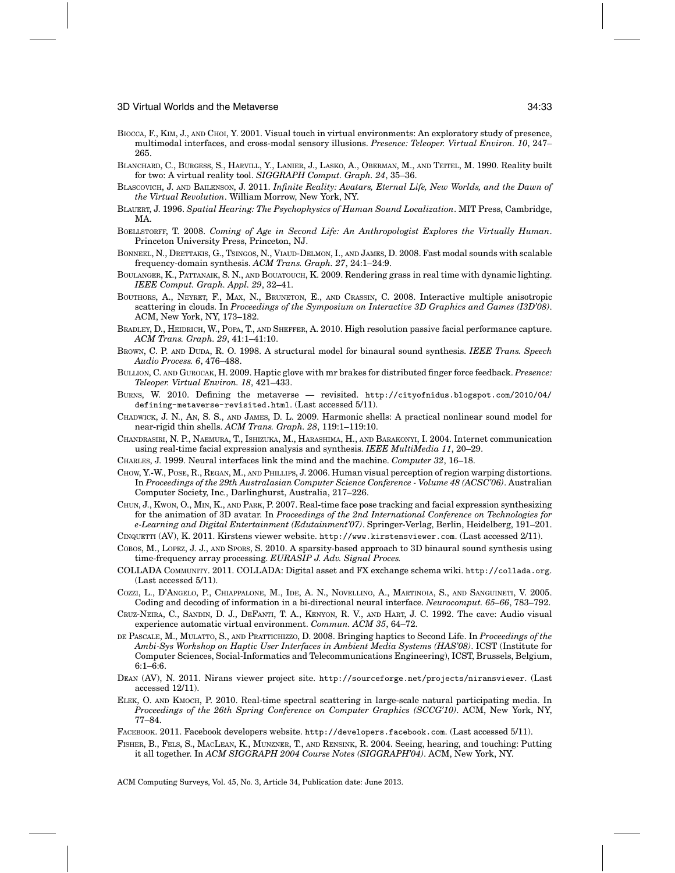- BIOCCA, F., KIM, J., AND CHOI, Y. 2001. Visual touch in virtual environments: An exploratory study of presence, multimodal interfaces, and cross-modal sensory illusions. *Presence: Teleoper. Virtual Environ. 10*, 247– 265.
- BLANCHARD, C., BURGESS, S., HARVILL, Y., LANIER, J., LASKO, A., OBERMAN, M., AND TEITEL, M. 1990. Reality built for two: A virtual reality tool. *SIGGRAPH Comput. Graph. 24*, 35–36.
- BLASCOVICH, J. AND BAILENSON, J. 2011. *Infinite Reality: Avatars, Eternal Life, New Worlds, and the Dawn of the Virtual Revolution*. William Morrow, New York, NY.
- BLAUERT, J. 1996. *Spatial Hearing: The Psychophysics of Human Sound Localization*. MIT Press, Cambridge, MA.
- BOELLSTORFF, T. 2008. *Coming of Age in Second Life: An Anthropologist Explores the Virtually Human*. Princeton University Press, Princeton, NJ.
- BONNEEL, N., DRETTAKIS, G., TSINGOS, N., VIAUD-DELMON, I., AND JAMES, D. 2008. Fast modal sounds with scalable frequency-domain synthesis. *ACM Trans. Graph. 27*, 24:1–24:9.
- BOULANGER, K., PATTANAIK, S. N., AND BOUATOUCH, K. 2009. Rendering grass in real time with dynamic lighting. *IEEE Comput. Graph. Appl. 29*, 32–41.
- BOUTHORS, A., NEYRET, F., MAX, N., BRUNETON, E., AND CRASSIN, C. 2008. Interactive multiple anisotropic scattering in clouds. In *Proceedings of the Symposium on Interactive 3D Graphics and Games (I3D'08)*. ACM, New York, NY, 173–182.
- BRADLEY, D., HEIDRICH, W., POPA, T., AND SHEFFER, A. 2010. High resolution passive facial performance capture. *ACM Trans. Graph. 29*, 41:1–41:10.
- BROWN, C. P. AND DUDA, R. O. 1998. A structural model for binaural sound synthesis. *IEEE Trans. Speech Audio Process. 6*, 476–488.
- BULLION, C. AND GUROCAK, H. 2009. Haptic glove with mr brakes for distributed finger force feedback. *Presence: Teleoper. Virtual Environ. 18*, 421–433.
- BURNS, W. 2010. Defining the metaverse revisited. http://cityofnidus.blogspot.com/2010/04/ defining-metaverse-revisited.html. (Last accessed 5/11).
- CHADWICK, J. N., AN, S. S., AND JAMES, D. L. 2009. Harmonic shells: A practical nonlinear sound model for near-rigid thin shells. *ACM Trans. Graph. 28*, 119:1–119:10.
- CHANDRASIRI, N. P., NAEMURA, T., ISHIZUKA, M., HARASHIMA, H., AND BARAKONYI, I. 2004. Internet communication using real-time facial expression analysis and synthesis. *IEEE MultiMedia 11*, 20–29.
- CHARLES, J. 1999. Neural interfaces link the mind and the machine. *Computer 32*, 16–18.
- CHOW, Y.-W., POSE, R., REGAN, M., AND PHILLIPS, J. 2006. Human visual perception of region warping distortions. In *Proceedings of the 29th Australasian Computer Science Conference - Volume 48 (ACSC'06)*. Australian Computer Society, Inc., Darlinghurst, Australia, 217–226.
- CHUN, J., KWON, O., MIN, K., AND PARK, P. 2007. Real-time face pose tracking and facial expression synthesizing for the animation of 3D avatar. In *Proceedings of the 2nd International Conference on Technologies for e-Learning and Digital Entertainment (Edutainment'07)*. Springer-Verlag, Berlin, Heidelberg, 191–201.
- CINQUETTI (AV), K. 2011. Kirstens viewer website. http://www.kirstensviewer.com. (Last accessed 2/11).
- COBOS, M., LOPEZ, J. J., AND SPORS, S. 2010. A sparsity-based approach to 3D binaural sound synthesis using time-frequency array processing. *EURASIP J. Adv. Signal Proces.*
- COLLADA COMMUNITY. 2011. COLLADA: Digital asset and FX exchange schema wiki. http://collada.org. (Last accessed 5/11).
- COZZI, L., D'ANGELO, P., CHIAPPALONE, M., IDE, A. N., NOVELLINO, A., MARTINOIA, S., AND SANGUINETI, V. 2005. Coding and decoding of information in a bi-directional neural interface. *Neurocomput. 65–66*, 783–792.
- CRUZ-NEIRA, C., SANDIN, D. J., DEFANTI, T. A., KENYON, R. V., AND HART, J. C. 1992. The cave: Audio visual experience automatic virtual environment. *Commun. ACM 35*, 64–72.
- DE PASCALE, M., MULATTO, S., AND PRATTICHIZZO, D. 2008. Bringing haptics to Second Life. In *Proceedings of the Ambi-Sys Workshop on Haptic User Interfaces in Ambient Media Systems (HAS'08)*. ICST (Institute for Computer Sciences, Social-Informatics and Telecommunications Engineering), ICST, Brussels, Belgium, 6:1–6:6.
- DEAN (AV), N. 2011. Nirans viewer project site. http://sourceforge.net/projects/niransviewer. (Last accessed 12/11).
- ELEK, O. AND KMOCH, P. 2010. Real-time spectral scattering in large-scale natural participating media. In *Proceedings of the 26th Spring Conference on Computer Graphics (SCCG'10)*. ACM, New York, NY, 77–84.
- FACEBOOK. 2011. Facebook developers website. http://developers.facebook.com. (Last accessed 5/11).
- FISHER, B., FELS, S., MACLEAN, K., MUNZNER, T., AND RENSINK, R. 2004. Seeing, hearing, and touching: Putting it all together. In *ACM SIGGRAPH 2004 Course Notes (SIGGRAPH'04)*. ACM, New York, NY.

ACM Computing Surveys, Vol. 45, No. 3, Article 34, Publication date: June 2013.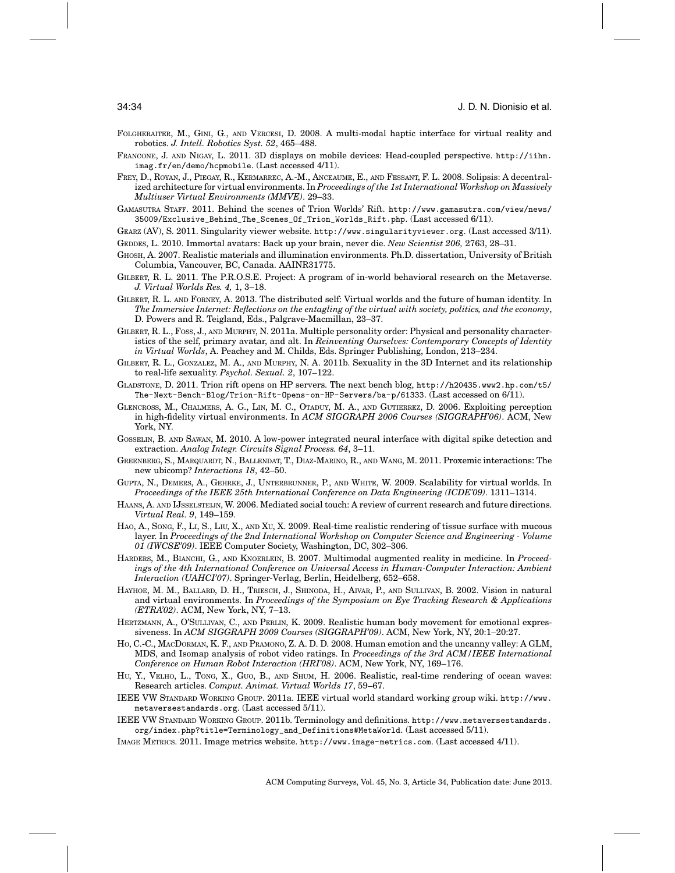- FOLGHERAITER, M., GINI, G., AND VERCESI, D. 2008. A multi-modal haptic interface for virtual reality and robotics. *J. Intell. Robotics Syst. 52*, 465–488.
- FRANCONE, J. AND NIGAY, L. 2011. 3D displays on mobile devices: Head-coupled perspective. http://iihm. imag.fr/en/demo/hcpmobile. (Last accessed 4/11).
- FREY, D., ROYAN, J., PIEGAY, R., KERMARREC, A.-M., ANCEAUME, E., AND FESSANT, F. L. 2008. Solipsis: A decentralized architecture for virtual environments. In *Proceedings of the 1st International Workshop on Massively Multiuser Virtual Environments (MMVE)*. 29–33.
- GAMASUTRA STAFF. 2011. Behind the scenes of Trion Worlds' Rift. http://www.gamasutra.com/view/news/ 35009/Exclusive\_Behind\_The\_Scenes\_Of\_Trion\_Worlds\_Rift.php. (Last accessed 6/11).
- GEARZ (AV), S. 2011. Singularity viewer website. http://www.singularityviewer.org. (Last accessed 3/11).
- GEDDES, L. 2010. Immortal avatars: Back up your brain, never die. *New Scientist 206,* 2763, 28–31.
- GHOSH, A. 2007. Realistic materials and illumination environments. Ph.D. dissertation, University of British Columbia, Vancouver, BC, Canada. AAINR31775.
- GILBERT, R. L. 2011. The P.R.O.S.E. Project: A program of in-world behavioral research on the Metaverse. *J. Virtual Worlds Res. 4,* 1, 3–18.
- GILBERT, R. L. AND FORNEY, A. 2013. The distributed self: Virtual worlds and the future of human identity. In *The Immersive Internet: Reflections on the entagling of the virtual with society, politics, and the economy*, D. Powers and R. Teigland, Eds., Palgrave-Macmillan, 23–37.
- GILBERT, R. L., FOSS, J., AND MURPHY, N. 2011a. Multiple personality order: Physical and personality characteristics of the self, primary avatar, and alt. In *Reinventing Ourselves: Contemporary Concepts of Identity in Virtual Worlds*, A. Peachey and M. Childs, Eds. Springer Publishing, London, 213–234.
- GILBERT, R. L., GONZALEZ, M. A., AND MURPHY, N. A. 2011b. Sexuality in the 3D Internet and its relationship to real-life sexuality. *Psychol. Sexual. 2*, 107–122.
- GLADSTONE, D. 2011. Trion rift opens on HP servers. The next bench blog, http://h20435.www2.hp.com/t5/ The-Next-Bench-Blog/Trion-Rift-Opens-on-HP-Servers/ba-p/61333. (Last accessed on 6/11).
- GLENCROSS, M., CHALMERS, A. G., LIN, M. C., OTADUY, M. A., AND GUTIERREZ, D. 2006. Exploiting perception in high-fidelity virtual environments. In *ACM SIGGRAPH 2006 Courses (SIGGRAPH'06)*. ACM, New York, NY.
- GOSSELIN, B. AND SAWAN, M. 2010. A low-power integrated neural interface with digital spike detection and extraction. *Analog Integr. Circuits Signal Process. 64*, 3–11.
- GREENBERG, S., MARQUARDT, N., BALLENDAT, T., DIAZ-MARINO, R., AND WANG, M. 2011. Proxemic interactions: The new ubicomp? *Interactions 18*, 42–50.
- GUPTA, N., DEMERS, A., GEHRKE, J., UNTERBRUNNER, P., AND WHITE, W. 2009. Scalability for virtual worlds. In *Proceedings of the IEEE 25th International Conference on Data Engineering (ICDE'09)*. 1311–1314.
- HAANS, A. AND IJSSELSTEIJN, W. 2006. Mediated social touch: A review of current research and future directions. *Virtual Real. 9*, 149–159.
- HAO, A., SONG, F., LI, S., LIU, X., AND XU, X. 2009. Real-time realistic rendering of tissue surface with mucous layer. In *Proceedings of the 2nd International Workshop on Computer Science and Engineering - Volume 01 (IWCSE'09)*. IEEE Computer Society, Washington, DC, 302–306.
- HARDERS, M., BIANCHI, G., AND KNOERLEIN, B. 2007. Multimodal augmented reality in medicine. In *Proceedings of the 4th International Conference on Universal Access in Human-Computer Interaction: Ambient Interaction (UAHCI'07)*. Springer-Verlag, Berlin, Heidelberg, 652–658.
- HAYHOE, M. M., BALLARD, D. H., TRIESCH, J., SHINODA, H., AIVAR, P., AND SULLIVAN, B. 2002. Vision in natural and virtual environments. In *Proceedings of the Symposium on Eye Tracking Research & Applications (ETRA'02)*. ACM, New York, NY, 7–13.
- HERTZMANN, A., O'SULLIVAN, C., AND PERLIN, K. 2009. Realistic human body movement for emotional expressiveness. In *ACM SIGGRAPH 2009 Courses (SIGGRAPH'09)*. ACM, New York, NY, 20:1–20:27.
- HO, C.-C., MACDORMAN, K. F., AND PRAMONO, Z. A. D. D. 2008. Human emotion and the uncanny valley: A GLM, MDS, and Isomap analysis of robot video ratings. In *Proceedings of the 3rd ACM/IEEE International Conference on Human Robot Interaction (HRI'08)*. ACM, New York, NY, 169–176.
- HU, Y., VELHO, L., TONG, X., GUO, B., AND SHUM, H. 2006. Realistic, real-time rendering of ocean waves: Research articles. *Comput. Animat. Virtual Worlds 17*, 59–67.
- IEEE VW STANDARD WORKING GROUP. 2011a. IEEE virtual world standard working group wiki. http://www. metaversestandards.org. (Last accessed 5/11).
- IEEE VW STANDARD WORKING GROUP. 2011b. Terminology and definitions. http://www.metaversestandards. org/index.php?title=Terminology\_and\_Definitions#MetaWorld. (Last accessed 5/11).
- IMAGE METRICS. 2011. Image metrics website. http://www.image-metrics.com. (Last accessed 4/11).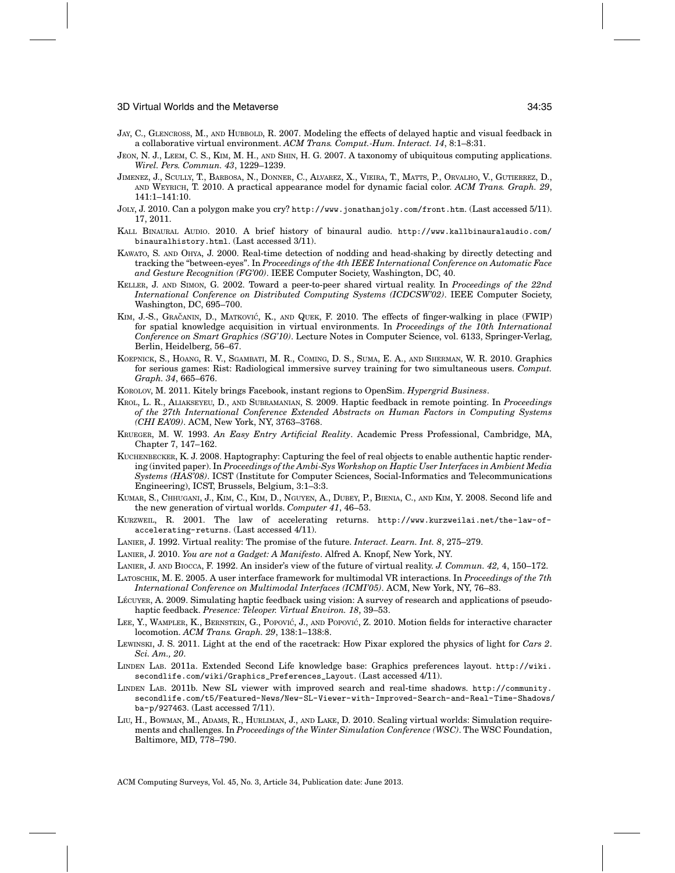- JAY, C., GLENCROSS, M., AND HUBBOLD, R. 2007. Modeling the effects of delayed haptic and visual feedback in a collaborative virtual environment. *ACM Trans. Comput.-Hum. Interact. 14*, 8:1–8:31.
- JEON, N. J., LEEM, C. S., KIM, M. H., AND SHIN, H. G. 2007. A taxonomy of ubiquitous computing applications. *Wirel. Pers. Commun. 43*, 1229–1239.
- JIMENEZ, J., SCULLY, T., BARBOSA, N., DONNER, C., ALVAREZ, X., VIEIRA, T., MATTS, P., ORVALHO, V., GUTIERREZ, D., AND WEYRICH, T. 2010. A practical appearance model for dynamic facial color. *ACM Trans. Graph. 29*, 141:1–141:10.
- JOLY, J. 2010. Can a polygon make you cry? http://www.jonathanjoly.com/front.htm. (Last accessed 5/11). 17, 2011.
- KALL BINAURAL AUDIO. 2010. A brief history of binaural audio. http://www.kallbinauralaudio.com/ binauralhistory.html. (Last accessed 3/11).
- KAWATO, S. AND OHYA, J. 2000. Real-time detection of nodding and head-shaking by directly detecting and tracking the "between-eyes". In *Proceedings of the 4th IEEE International Conference on Automatic Face and Gesture Recognition (FG'00)*. IEEE Computer Society, Washington, DC, 40.
- KELLER, J. AND SIMON, G. 2002. Toward a peer-to-peer shared virtual reality. In *Proceedings of the 22nd International Conference on Distributed Computing Systems (ICDCSW'02)*. IEEE Computer Society, Washington, DC, 695–700.
- KIM, J.-S., GRAČANIN, D., MATKOVIĆ, K., AND QUEK, F. 2010. The effects of finger-walking in place (FWIP) for spatial knowledge acquisition in virtual environments. In *Proceedings of the 10th International Conference on Smart Graphics (SG'10)*. Lecture Notes in Computer Science, vol. 6133, Springer-Verlag, Berlin, Heidelberg, 56–67.
- KOEPNICK, S., HOANG, R. V., SGAMBATI, M. R., COMING, D. S., SUMA, E. A., AND SHERMAN, W. R. 2010. Graphics for serious games: Rist: Radiological immersive survey training for two simultaneous users. *Comput. Graph. 34*, 665–676.
- KOROLOV, M. 2011. Kitely brings Facebook, instant regions to OpenSim. *Hypergrid Business*.
- KROL, L. R., ALIAKSEYEU, D., AND SUBRAMANIAN, S. 2009. Haptic feedback in remote pointing. In *Proceedings of the 27th International Conference Extended Abstracts on Human Factors in Computing Systems (CHI EA'09)*. ACM, New York, NY, 3763–3768.
- KRUEGER, M. W. 1993. *An Easy Entry Artificial Reality*. Academic Press Professional, Cambridge, MA, Chapter 7, 147–162.
- KUCHENBECKER, K. J. 2008. Haptography: Capturing the feel of real objects to enable authentic haptic rendering (invited paper). In *Proceedings of the Ambi-Sys Workshop on Haptic User Interfaces in Ambient Media Systems (HAS'08)*. ICST (Institute for Computer Sciences, Social-Informatics and Telecommunications Engineering), ICST, Brussels, Belgium, 3:1–3:3.
- KUMAR, S., CHHUGANI, J., KIM, C., KIM, D., NGUYEN, A., DUBEY, P., BIENIA, C., AND KIM, Y. 2008. Second life and the new generation of virtual worlds. *Computer 41*, 46–53.
- KURZWEIL, R. 2001. The law of accelerating returns. http://www.kurzweilai.net/the-law-ofaccelerating-returns. (Last accessed 4/11).
- LANIER, J. 1992. Virtual reality: The promise of the future. *Interact. Learn. Int. 8*, 275–279.
- LANIER, J. 2010. *You are not a Gadget: A Manifesto*. Alfred A. Knopf, New York, NY.
- LANIER, J. AND BIOCCA, F. 1992. An insider's view of the future of virtual reality. *J. Commun. 42,* 4, 150–172.
- LATOSCHIK, M. E. 2005. A user interface framework for multimodal VR interactions. In *Proceedings of the 7th International Conference on Multimodal Interfaces (ICMI'05)*. ACM, New York, NY, 76–83.
- LÉCUYER, A. 2009. Simulating haptic feedback using vision: A survey of research and applications of pseudohaptic feedback. *Presence: Teleoper. Virtual Environ. 18*, 39–53.
- LEE, Y., WAMPLER, K., BERNSTEIN, G., POPOVIĆ, J., AND POPOVIĆ, Z. 2010. Motion fields for interactive character locomotion. *ACM Trans. Graph. 29*, 138:1–138:8.
- LEWINSKI, J. S. 2011. Light at the end of the racetrack: How Pixar explored the physics of light for *Cars 2*. *Sci. Am., 20*.
- LINDEN LAB. 2011a. Extended Second Life knowledge base: Graphics preferences layout. http://wiki. secondlife.com/wiki/Graphics\_Preferences\_Layout. (Last accessed 4/11).
- LINDEN LAB. 2011b. New SL viewer with improved search and real-time shadows. http://community. secondlife.com/t5/Featured-News/New-SL-Viewer-with-Improved-Search-and-Real-Time-Shadows/ ba-p/927463. (Last accessed 7/11).
- LIU, H., BOWMAN, M., ADAMS, R., HURLIMAN, J., AND LAKE, D. 2010. Scaling virtual worlds: Simulation requirements and challenges. In *Proceedings of the Winter Simulation Conference (WSC)*. The WSC Foundation, Baltimore, MD, 778–790.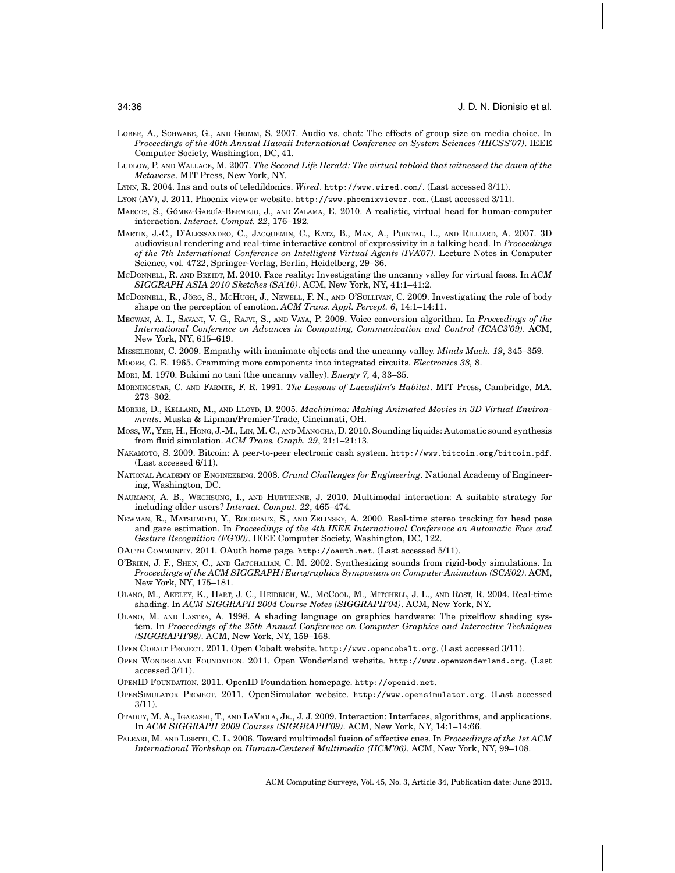- LOBER, A., SCHWABE, G., AND GRIMM, S. 2007. Audio vs. chat: The effects of group size on media choice. In *Proceedings of the 40th Annual Hawaii International Conference on System Sciences (HICSS'07)*. IEEE Computer Society, Washington, DC, 41.
- LUDLOW, P. AND WALLACE, M. 2007. *The Second Life Herald: The virtual tabloid that witnessed the dawn of the Metaverse*. MIT Press, New York, NY.
- LYNN, R. 2004. Ins and outs of teledildonics. *Wired*. http://www.wired.com/. (Last accessed 3/11).
- LYON (AV), J. 2011. Phoenix viewer website. http://www.phoenixviewer.com. (Last accessed 3/11).
- MARCOS, S., GÓMEZ-GARCÍA-BERMEJO, J., AND ZALAMA, E. 2010. A realistic, virtual head for human-computer interaction. *Interact. Comput. 22*, 176–192.
- MARTIN, J.-C., D'ALESSANDRO, C., JACQUEMIN, C., KATZ, B., MAX, A., POINTAL, L., AND RILLIARD, A. 2007. 3D audiovisual rendering and real-time interactive control of expressivity in a talking head. In *Proceedings of the 7th International Conference on Intelligent Virtual Agents (IVA'07)*. Lecture Notes in Computer Science, vol. 4722, Springer-Verlag, Berlin, Heidelberg, 29–36.
- MCDONNELL, R. AND BREIDT, M. 2010. Face reality: Investigating the uncanny valley for virtual faces. In *ACM SIGGRAPH ASIA 2010 Sketches (SA'10)*. ACM, New York, NY, 41:1–41:2.
- McDONNELL, R., JÖRG, S., McHUGH, J., NEWELL, F. N., AND O'SULLIVAN, C. 2009. Investigating the role of body shape on the perception of emotion. *ACM Trans. Appl. Percept. 6*, 14:1–14:11.
- MECWAN, A. I., SAVANI, V. G., RAJVI, S., AND VAYA, P. 2009. Voice conversion algorithm. In *Proceedings of the International Conference on Advances in Computing, Communication and Control (ICAC3'09)*. ACM, New York, NY, 615–619.
- MISSELHORN, C. 2009. Empathy with inanimate objects and the uncanny valley. *Minds Mach. 19*, 345–359.
- MOORE, G. E. 1965. Cramming more components into integrated circuits. *Electronics 38,* 8.
- MORI, M. 1970. Bukimi no tani (the uncanny valley). *Energy 7,* 4, 33–35.
- MORNINGSTAR, C. AND FARMER, F. R. 1991. *The Lessons of Lucasfilm's Habitat*. MIT Press, Cambridge, MA. 273–302.
- MORRIS, D., KELLAND, M., AND LLOYD, D. 2005. *Machinima: Making Animated Movies in 3D Virtual Environments*. Muska & Lipman/Premier-Trade, Cincinnati, OH.
- MOSS, W., YEH, H., HONG, J.-M., LIN, M. C., AND MANOCHA, D. 2010. Sounding liquids: Automatic sound synthesis from fluid simulation. *ACM Trans. Graph. 29*, 21:1–21:13.
- NAKAMOTO, S. 2009. Bitcoin: A peer-to-peer electronic cash system. http://www.bitcoin.org/bitcoin.pdf. (Last accessed 6/11).
- NATIONAL ACADEMY OF ENGINEERING. 2008. *Grand Challenges for Engineering*. National Academy of Engineering, Washington, DC.
- NAUMANN, A. B., WECHSUNG, I., AND HURTIENNE, J. 2010. Multimodal interaction: A suitable strategy for including older users? *Interact. Comput. 22*, 465–474.
- NEWMAN, R., MATSUMOTO, Y., ROUGEAUX, S., AND ZELINSKY, A. 2000. Real-time stereo tracking for head pose and gaze estimation. In *Proceedings of the 4th IEEE International Conference on Automatic Face and Gesture Recognition (FG'00)*. IEEE Computer Society, Washington, DC, 122.
- OAUTH COMMUNITY. 2011. OAuth home page. http://oauth.net. (Last accessed 5/11).
- O'BRIEN, J. F., SHEN, C., AND GATCHALIAN, C. M. 2002. Synthesizing sounds from rigid-body simulations. In *Proceedings of the ACM SIGGRAPH/Eurographics Symposium on Computer Animation (SCA'02)*. ACM, New York, NY, 175–181.
- OLANO, M., AKELEY, K., HART, J. C., HEIDRICH, W., MCCOOL, M., MITCHELL, J. L., AND ROST, R. 2004. Real-time shading. In *ACM SIGGRAPH 2004 Course Notes (SIGGRAPH'04)*. ACM, New York, NY.
- OLANO, M. AND LASTRA, A. 1998. A shading language on graphics hardware: The pixelflow shading system. In *Proceedings of the 25th Annual Conference on Computer Graphics and Interactive Techniques (SIGGRAPH'98)*. ACM, New York, NY, 159–168.
- OPEN COBALT PROJECT. 2011. Open Cobalt website. http://www.opencobalt.org. (Last accessed 3/11).
- OPEN WONDERLAND FOUNDATION. 2011. Open Wonderland website. http://www.openwonderland.org. (Last accessed 3/11).
- OPENID FOUNDATION. 2011. OpenID Foundation homepage. http://openid.net.
- OPENSIMULATOR PROJECT. 2011. OpenSimulator website. http://www.opensimulator.org. (Last accessed 3/11).
- OTADUY, M. A., IGARASHI, T., AND LAVIOLA, JR., J. J. 2009. Interaction: Interfaces, algorithms, and applications. In *ACM SIGGRAPH 2009 Courses (SIGGRAPH'09)*. ACM, New York, NY, 14:1–14:66.
- PALEARI, M. AND LISETTI, C. L. 2006. Toward multimodal fusion of affective cues. In *Proceedings of the 1st ACM International Workshop on Human-Centered Multimedia (HCM'06)*. ACM, New York, NY, 99–108.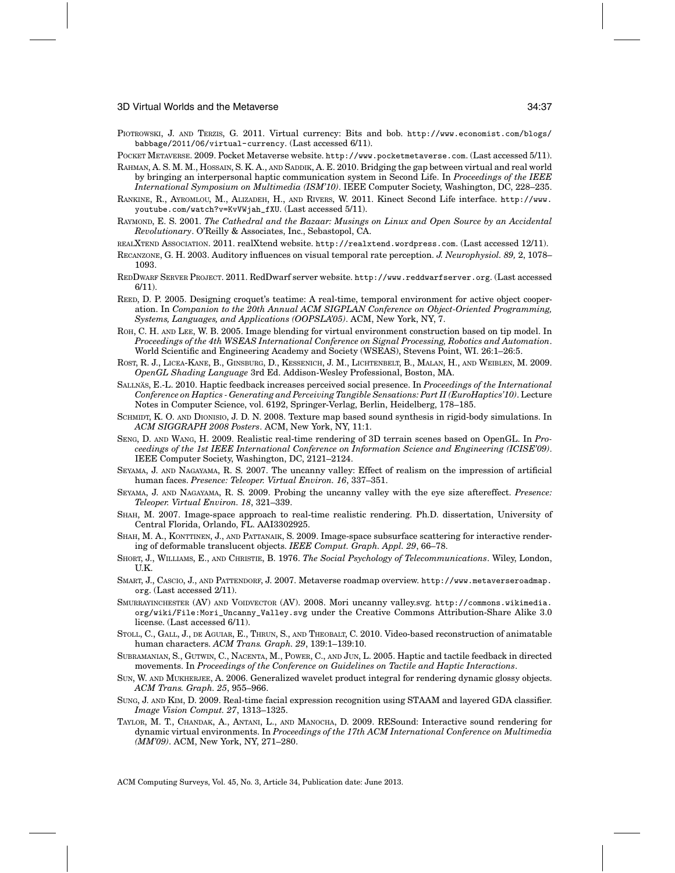- PIOTROWSKI, J. AND TERZIS, G. 2011. Virtual currency: Bits and bob. http://www.economist.com/blogs/ babbage/2011/06/virtual-currency. (Last accessed 6/11).
- POCKET METAVERSE. 2009. Pocket Metaverse website. http://www.pocketmetaverse.com. (Last accessed 5/11).
- RAHMAN, A. S. M. M., HOSSAIN, S. K. A., AND SADDIK, A. E. 2010. Bridging the gap between virtual and real world by bringing an interpersonal haptic communication system in Second Life. In *Proceedings of the IEEE International Symposium on Multimedia (ISM'10)*. IEEE Computer Society, Washington, DC, 228–235.
- RANKINE, R., AYROMLOU, M., ALIZADEH, H., AND RIVERS, W. 2011. Kinect Second Life interface. http://www. youtube.com/watch?v=KvVWjah\_fXU. (Last accessed 5/11).
- RAYMOND, E. S. 2001. *The Cathedral and the Bazaar: Musings on Linux and Open Source by an Accidental Revolutionary*. O'Reilly & Associates, Inc., Sebastopol, CA.
- REALXTEND ASSOCIATION. 2011. realXtend website. http://realxtend.wordpress.com. (Last accessed 12/11).
- RECANZONE, G. H. 2003. Auditory influences on visual temporal rate perception. *J. Neurophysiol. 89,* 2, 1078– 1093.
- REDDWARF SERVER PROJECT. 2011. RedDwarf server website. http://www.reddwarfserver.org. (Last accessed 6/11).
- REED, D. P. 2005. Designing croquet's teatime: A real-time, temporal environment for active object cooperation. In *Companion to the 20th Annual ACM SIGPLAN Conference on Object-Oriented Programming, Systems, Languages, and Applications (OOPSLA'05)*. ACM, New York, NY, 7.
- ROH, C. H. AND LEE, W. B. 2005. Image blending for virtual environment construction based on tip model. In *Proceedings of the 4th WSEAS International Conference on Signal Processing, Robotics and Automation*. World Scientific and Engineering Academy and Society (WSEAS), Stevens Point, WI. 26:1–26:5.
- ROST, R. J., LICEA-KANE, B., GINSBURG, D., KESSENICH, J. M., LICHTENBELT, B., MALAN, H., AND WEIBLEN, M. 2009. *OpenGL Shading Language* 3rd Ed. Addison-Wesley Professional, Boston, MA.
- SALLNÄS, E.-L. 2010. Haptic feedback increases perceived social presence. In *Proceedings of the International Conference on Haptics - Generating and Perceiving Tangible Sensations: Part II (EuroHaptics'10)*. Lecture Notes in Computer Science, vol. 6192, Springer-Verlag, Berlin, Heidelberg, 178–185.
- SCHMIDT, K. O. AND DIONISIO, J. D. N. 2008. Texture map based sound synthesis in rigid-body simulations. In *ACM SIGGRAPH 2008 Posters*. ACM, New York, NY, 11:1.
- SENG, D. AND WANG, H. 2009. Realistic real-time rendering of 3D terrain scenes based on OpenGL. In *Proceedings of the 1st IEEE International Conference on Information Science and Engineering (ICISE'09)*. IEEE Computer Society, Washington, DC, 2121–2124.
- SEYAMA, J. AND NAGAYAMA, R. S. 2007. The uncanny valley: Effect of realism on the impression of artificial human faces. *Presence: Teleoper. Virtual Environ. 16*, 337–351.
- SEYAMA, J. AND NAGAYAMA, R. S. 2009. Probing the uncanny valley with the eye size aftereffect. *Presence: Teleoper. Virtual Environ. 18*, 321–339.
- SHAH, M. 2007. Image-space approach to real-time realistic rendering. Ph.D. dissertation, University of Central Florida, Orlando, FL. AAI3302925.
- SHAH, M. A., KONTTINEN, J., AND PATTANAIK, S. 2009. Image-space subsurface scattering for interactive rendering of deformable translucent objects. *IEEE Comput. Graph. Appl. 29*, 66–78.
- SHORT, J., WILLIAMS, E., AND CHRISTIE, B. 1976. *The Social Psychology of Telecommunications*. Wiley, London, U.K.
- SMART, J., CASCIO, J., AND PATTENDORF, J. 2007. Metaverse roadmap overview. http://www.metaverseroadmap. org. (Last accessed 2/11).
- SMURRAYINCHESTER (AV) AND VOIDVECTOR (AV). 2008. Mori uncanny valley.svg. http://commons.wikimedia. org/wiki/File:Mori\_Uncanny\_Valley.svg under the Creative Commons Attribution-Share Alike 3.0 license. (Last accessed 6/11).
- STOLL, C., GALL, J., DE AGUIAR, E., THRUN, S., AND THEOBALT, C. 2010. Video-based reconstruction of animatable human characters. *ACM Trans. Graph. 29*, 139:1–139:10.
- SUBRAMANIAN, S., GUTWIN, C., NACENTA, M., POWER, C., AND JUN, L. 2005. Haptic and tactile feedback in directed movements. In *Proceedings of the Conference on Guidelines on Tactile and Haptic Interactions*.
- SUN, W. AND MUKHERJEE, A. 2006. Generalized wavelet product integral for rendering dynamic glossy objects. *ACM Trans. Graph. 25*, 955–966.
- SUNG, J. AND KIM, D. 2009. Real-time facial expression recognition using STAAM and layered GDA classifier. *Image Vision Comput. 27*, 1313–1325.
- TAYLOR, M. T., CHANDAK, A., ANTANI, L., AND MANOCHA, D. 2009. RESound: Interactive sound rendering for dynamic virtual environments. In *Proceedings of the 17th ACM International Conference on Multimedia (MM'09)*. ACM, New York, NY, 271–280.